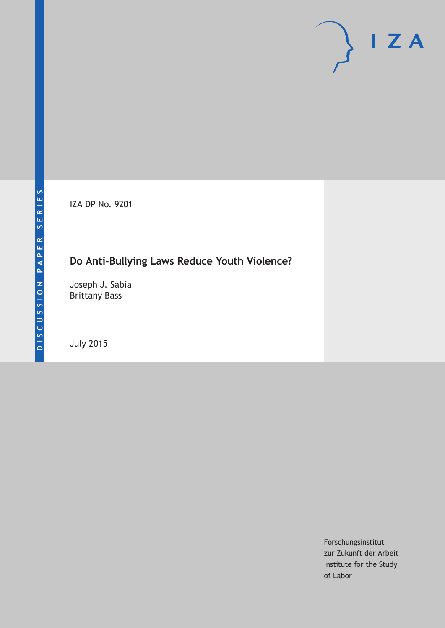IZA DP No. 9201

# **Do Anti-Bullying Laws Reduce Youth Violence?**

Joseph J. Sabia Brittany Bass

July 2015

Forschungsinstitut zur Zukunft der Arbeit Institute for the Study of Labor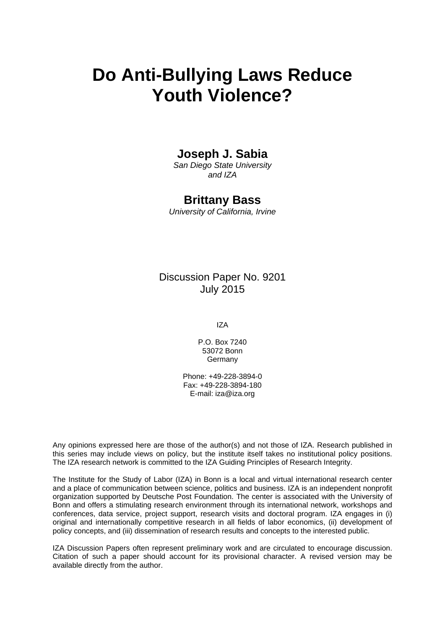# **Do Anti-Bullying Laws Reduce Youth Violence?**

# **Joseph J. Sabia**

*San Diego State University and IZA* 

# **Brittany Bass**

*University of California, Irvine* 

Discussion Paper No. 9201 July 2015

IZA

P.O. Box 7240 53072 Bonn Germany

Phone: +49-228-3894-0 Fax: +49-228-3894-180 E-mail: iza@iza.org

Any opinions expressed here are those of the author(s) and not those of IZA. Research published in this series may include views on policy, but the institute itself takes no institutional policy positions. The IZA research network is committed to the IZA Guiding Principles of Research Integrity.

The Institute for the Study of Labor (IZA) in Bonn is a local and virtual international research center and a place of communication between science, politics and business. IZA is an independent nonprofit organization supported by Deutsche Post Foundation. The center is associated with the University of Bonn and offers a stimulating research environment through its international network, workshops and conferences, data service, project support, research visits and doctoral program. IZA engages in (i) original and internationally competitive research in all fields of labor economics, (ii) development of policy concepts, and (iii) dissemination of research results and concepts to the interested public.

IZA Discussion Papers often represent preliminary work and are circulated to encourage discussion. Citation of such a paper should account for its provisional character. A revised version may be available directly from the author.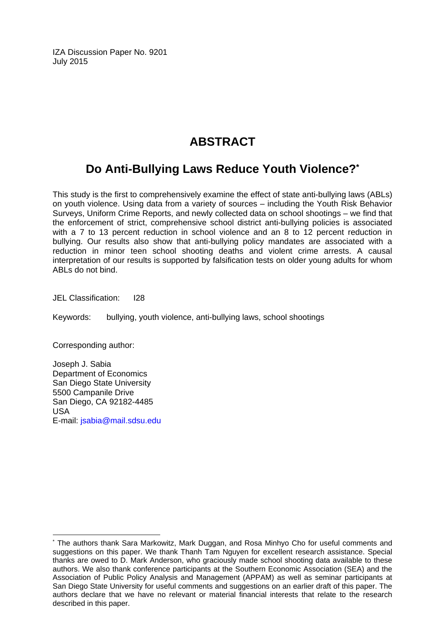IZA Discussion Paper No. 9201 July 2015

# **ABSTRACT**

# **Do Anti-Bullying Laws Reduce Youth Violence?\***

This study is the first to comprehensively examine the effect of state anti-bullying laws (ABLs) on youth violence. Using data from a variety of sources – including the Youth Risk Behavior Surveys, Uniform Crime Reports, and newly collected data on school shootings – we find that the enforcement of strict, comprehensive school district anti-bullying policies is associated with a 7 to 13 percent reduction in school violence and an 8 to 12 percent reduction in bullying. Our results also show that anti-bullying policy mandates are associated with a reduction in minor teen school shooting deaths and violent crime arrests. A causal interpretation of our results is supported by falsification tests on older young adults for whom ABLs do not bind.

JEL Classification: I28

Keywords: bullying, youth violence, anti-bullying laws, school shootings

Corresponding author:

 $\overline{a}$ 

Joseph J. Sabia Department of Economics San Diego State University 5500 Campanile Drive San Diego, CA 92182-4485 USA E-mail: jsabia@mail.sdsu.edu

<sup>\*</sup> The authors thank Sara Markowitz, Mark Duggan, and Rosa Minhyo Cho for useful comments and suggestions on this paper. We thank Thanh Tam Nguyen for excellent research assistance. Special thanks are owed to D. Mark Anderson, who graciously made school shooting data available to these authors. We also thank conference participants at the Southern Economic Association (SEA) and the Association of Public Policy Analysis and Management (APPAM) as well as seminar participants at San Diego State University for useful comments and suggestions on an earlier draft of this paper. The authors declare that we have no relevant or material financial interests that relate to the research described in this paper.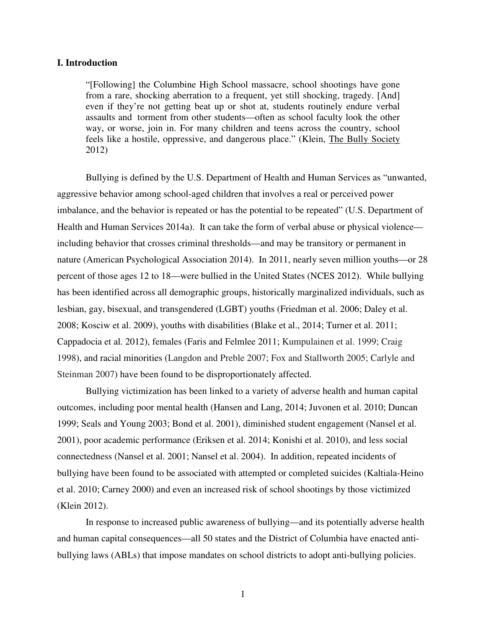#### **I. Introduction**

"[Following] the Columbine High School massacre, school shootings have gone from a rare, shocking aberration to a frequent, yet still shocking, tragedy. [And] even if they're not getting beat up or shot at, students routinely endure verbal assaults and torment from other students—often as school faculty look the other way, or worse, join in. For many children and teens across the country, school feels like a hostile, oppressive, and dangerous place." (Klein, The Bully Society 2012)

Bullying is defined by the U.S. Department of Health and Human Services as "unwanted, aggressive behavior among school-aged children that involves a real or perceived power imbalance, and the behavior is repeated or has the potential to be repeated" (U.S. Department of Health and Human Services 2014a). It can take the form of verbal abuse or physical violence including behavior that crosses criminal thresholds—and may be transitory or permanent in nature (American Psychological Association 2014). In 2011, nearly seven million youths—or 28 percent of those ages 12 to 18—were bullied in the United States (NCES 2012). While bullying has been identified across all demographic groups, historically marginalized individuals, such as lesbian, gay, bisexual, and transgendered (LGBT) youths (Friedman et al. 2006; Daley et al. 2008; Kosciw et al. 2009), youths with disabilities (Blake et al., 2014; Turner et al. 2011; Cappadocia et al. 2012), females (Faris and Felmlee 2011; Kumpulainen et al. 1999; Craig 1998), and racial minorities (Langdon and Preble 2007; Fox and Stallworth 2005; Carlyle and Steinman 2007) have been found to be disproportionately affected.

 Bullying victimization has been linked to a variety of adverse health and human capital outcomes, including poor mental health (Hansen and Lang, 2014; Juvonen et al. 2010; Duncan 1999; Seals and Young 2003; Bond et al. 2001), diminished student engagement (Nansel et al. 2001), poor academic performance (Eriksen et al. 2014; Konishi et al. 2010), and less social connectedness (Nansel et al. 2001; Nansel et al. 2004). In addition, repeated incidents of bullying have been found to be associated with attempted or completed suicides (Kaltiala-Heino et al. 2010; Carney 2000) and even an increased risk of school shootings by those victimized (Klein 2012).

In response to increased public awareness of bullying—and its potentially adverse health and human capital consequences—all 50 states and the District of Columbia have enacted antibullying laws (ABLs) that impose mandates on school districts to adopt anti-bullying policies.

1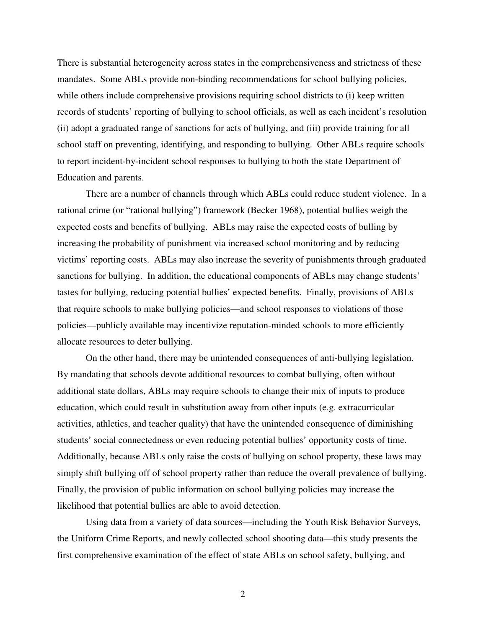There is substantial heterogeneity across states in the comprehensiveness and strictness of these mandates. Some ABLs provide non-binding recommendations for school bullying policies, while others include comprehensive provisions requiring school districts to (i) keep written records of students' reporting of bullying to school officials, as well as each incident's resolution (ii) adopt a graduated range of sanctions for acts of bullying, and (iii) provide training for all school staff on preventing, identifying, and responding to bullying. Other ABLs require schools to report incident-by-incident school responses to bullying to both the state Department of Education and parents.

There are a number of channels through which ABLs could reduce student violence. In a rational crime (or "rational bullying") framework (Becker 1968), potential bullies weigh the expected costs and benefits of bullying. ABLs may raise the expected costs of bulling by increasing the probability of punishment via increased school monitoring and by reducing victims' reporting costs. ABLs may also increase the severity of punishments through graduated sanctions for bullying. In addition, the educational components of ABLs may change students' tastes for bullying, reducing potential bullies' expected benefits. Finally, provisions of ABLs that require schools to make bullying policies—and school responses to violations of those policies—publicly available may incentivize reputation-minded schools to more efficiently allocate resources to deter bullying.

 On the other hand, there may be unintended consequences of anti-bullying legislation. By mandating that schools devote additional resources to combat bullying, often without additional state dollars, ABLs may require schools to change their mix of inputs to produce education, which could result in substitution away from other inputs (e.g. extracurricular activities, athletics, and teacher quality) that have the unintended consequence of diminishing students' social connectedness or even reducing potential bullies' opportunity costs of time. Additionally, because ABLs only raise the costs of bullying on school property, these laws may simply shift bullying off of school property rather than reduce the overall prevalence of bullying. Finally, the provision of public information on school bullying policies may increase the likelihood that potential bullies are able to avoid detection.

 Using data from a variety of data sources—including the Youth Risk Behavior Surveys, the Uniform Crime Reports, and newly collected school shooting data—this study presents the first comprehensive examination of the effect of state ABLs on school safety, bullying, and

2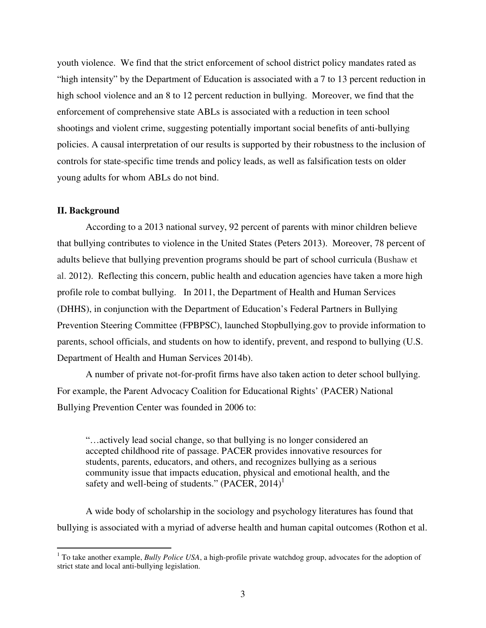youth violence. We find that the strict enforcement of school district policy mandates rated as "high intensity" by the Department of Education is associated with a 7 to 13 percent reduction in high school violence and an 8 to 12 percent reduction in bullying. Moreover, we find that the enforcement of comprehensive state ABLs is associated with a reduction in teen school shootings and violent crime, suggesting potentially important social benefits of anti-bullying policies. A causal interpretation of our results is supported by their robustness to the inclusion of controls for state-specific time trends and policy leads, as well as falsification tests on older young adults for whom ABLs do not bind.

#### **II. Background**

According to a 2013 national survey, 92 percent of parents with minor children believe that bullying contributes to violence in the United States (Peters 2013). Moreover, 78 percent of adults believe that bullying prevention programs should be part of school curricula (Bushaw et al. 2012). Reflecting this concern, public health and education agencies have taken a more high profile role to combat bullying. In 2011, the Department of Health and Human Services (DHHS), in conjunction with the Department of Education's Federal Partners in Bullying Prevention Steering Committee (FPBPSC), launched Stopbullying.gov to provide information to parents, school officials, and students on how to identify, prevent, and respond to bullying (U.S. Department of Health and Human Services 2014b).

A number of private not-for-profit firms have also taken action to deter school bullying. For example, the Parent Advocacy Coalition for Educational Rights' (PACER) National Bullying Prevention Center was founded in 2006 to:

"…actively lead social change, so that bullying is no longer considered an accepted childhood rite of passage. PACER provides innovative resources for students, parents, educators, and others, and recognizes bullying as a serious community issue that impacts education, physical and emotional health, and the safety and well-being of students."  $(PACER, 2014)^1$ 

 A wide body of scholarship in the sociology and psychology literatures has found that bullying is associated with a myriad of adverse health and human capital outcomes (Rothon et al.

 1 To take another example, *Bully Police USA*, a high-profile private watchdog group, advocates for the adoption of strict state and local anti-bullying legislation.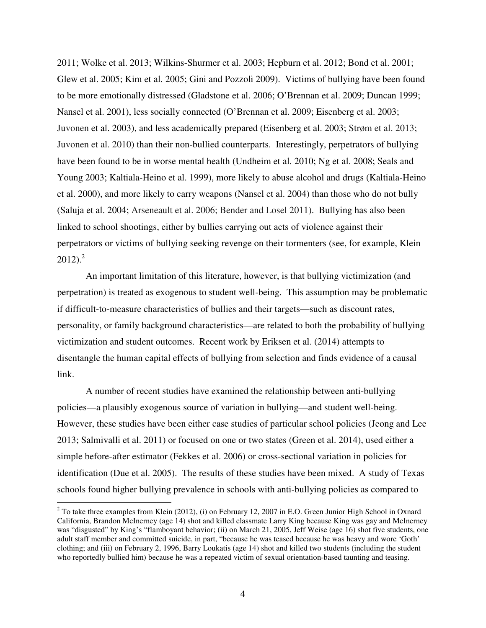2011; Wolke et al. 2013; Wilkins-Shurmer et al. 2003; Hepburn et al. 2012; Bond et al. 2001; Glew et al. 2005; Kim et al. 2005; Gini and Pozzoli 2009). Victims of bullying have been found to be more emotionally distressed (Gladstone et al. 2006; O'Brennan et al. 2009; Duncan 1999; Nansel et al. 2001), less socially connected (O'Brennan et al. 2009; Eisenberg et al. 2003; Juvonen et al. 2003), and less academically prepared (Eisenberg et al. 2003; Strøm et al. 2013; Juvonen et al. 2010) than their non-bullied counterparts. Interestingly, perpetrators of bullying have been found to be in worse mental health (Undheim et al. 2010; Ng et al. 2008; Seals and Young 2003; Kaltiala-Heino et al. 1999), more likely to abuse alcohol and drugs (Kaltiala-Heino et al. 2000), and more likely to carry weapons (Nansel et al. 2004) than those who do not bully (Saluja et al. 2004; Arseneault et al. 2006; Bender and Losel 2011). Bullying has also been linked to school shootings, either by bullies carrying out acts of violence against their perpetrators or victims of bullying seeking revenge on their tormenters (see, for example, Klein  $2012$ ).<sup>2</sup>

 An important limitation of this literature, however, is that bullying victimization (and perpetration) is treated as exogenous to student well-being. This assumption may be problematic if difficult-to-measure characteristics of bullies and their targets—such as discount rates, personality, or family background characteristics—are related to both the probability of bullying victimization and student outcomes. Recent work by Eriksen et al. (2014) attempts to disentangle the human capital effects of bullying from selection and finds evidence of a causal link.

 A number of recent studies have examined the relationship between anti-bullying policies—a plausibly exogenous source of variation in bullying—and student well-being. However, these studies have been either case studies of particular school policies (Jeong and Lee 2013; Salmivalli et al. 2011) or focused on one or two states (Green et al. 2014), used either a simple before-after estimator (Fekkes et al. 2006) or cross-sectional variation in policies for identification (Due et al. 2005). The results of these studies have been mixed. A study of Texas schools found higher bullying prevalence in schools with anti-bullying policies as compared to

 $\overline{a}$ 

 $2$  To take three examples from Klein (2012), (i) on February 12, 2007 in E.O. Green Junior High School in Oxnard California, Brandon McInerney (age 14) shot and killed classmate Larry King because King was gay and McInerney was "disgusted" by King's "flamboyant behavior; (ii) on March 21, 2005, Jeff Weise (age 16) shot five students, one adult staff member and committed suicide, in part, "because he was teased because he was heavy and wore 'Goth' clothing; and (iii) on February 2, 1996, Barry Loukatis (age 14) shot and killed two students (including the student who reportedly bullied him) because he was a repeated victim of sexual orientation-based taunting and teasing.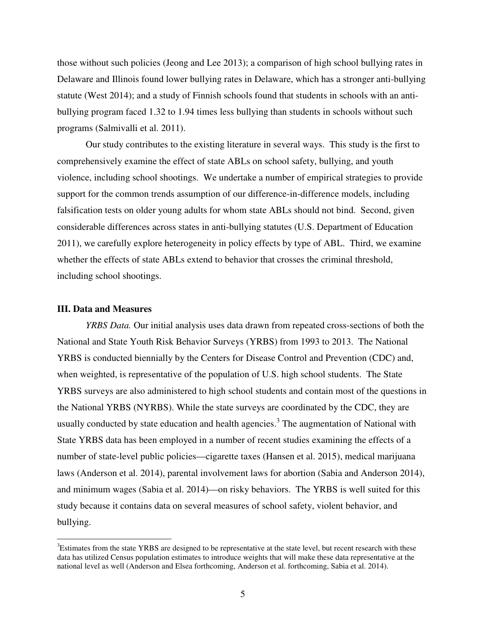those without such policies (Jeong and Lee 2013); a comparison of high school bullying rates in Delaware and Illinois found lower bullying rates in Delaware, which has a stronger anti-bullying statute (West 2014); and a study of Finnish schools found that students in schools with an antibullying program faced 1.32 to 1.94 times less bullying than students in schools without such programs (Salmivalli et al. 2011).

 Our study contributes to the existing literature in several ways. This study is the first to comprehensively examine the effect of state ABLs on school safety, bullying, and youth violence, including school shootings. We undertake a number of empirical strategies to provide support for the common trends assumption of our difference-in-difference models, including falsification tests on older young adults for whom state ABLs should not bind. Second, given considerable differences across states in anti-bullying statutes (U.S. Department of Education 2011), we carefully explore heterogeneity in policy effects by type of ABL. Third, we examine whether the effects of state ABLs extend to behavior that crosses the criminal threshold, including school shootings.

#### **III. Data and Measures**

 $\overline{a}$ 

*YRBS Data.* Our initial analysis uses data drawn from repeated cross-sections of both the National and State Youth Risk Behavior Surveys (YRBS) from 1993 to 2013. The National YRBS is conducted biennially by the Centers for Disease Control and Prevention (CDC) and, when weighted, is representative of the population of U.S. high school students. The State YRBS surveys are also administered to high school students and contain most of the questions in the National YRBS (NYRBS). While the state surveys are coordinated by the CDC, they are usually conducted by state education and health agencies.<sup>3</sup> The augmentation of National with State YRBS data has been employed in a number of recent studies examining the effects of a number of state-level public policies—cigarette taxes (Hansen et al. 2015), medical marijuana laws (Anderson et al. 2014), parental involvement laws for abortion (Sabia and Anderson 2014), and minimum wages (Sabia et al. 2014)—on risky behaviors. The YRBS is well suited for this study because it contains data on several measures of school safety, violent behavior, and bullying.

<sup>&</sup>lt;sup>3</sup>Estimates from the state YRBS are designed to be representative at the state level, but recent research with these data has utilized Census population estimates to introduce weights that will make these data representative at the national level as well (Anderson and Elsea forthcoming, Anderson et al. forthcoming, Sabia et al. 2014).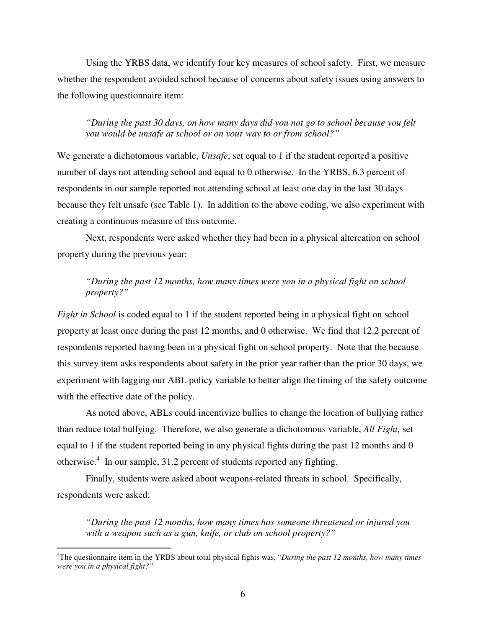Using the YRBS data, we identify four key measures of school safety. First, we measure whether the respondent avoided school because of concerns about safety issues using answers to the following questionnaire item:

*"During the past 30 days, on how many days did you not go to school because you felt you would be unsafe at school or on your way to or from school?"* 

We generate a dichotomous variable, *Unsafe*, set equal to 1 if the student reported a positive number of days not attending school and equal to 0 otherwise. In the YRBS, 6.3 percent of respondents in our sample reported not attending school at least one day in the last 30 days because they felt unsafe (see Table 1). In addition to the above coding, we also experiment with creating a continuous measure of this outcome.

 Next, respondents were asked whether they had been in a physical altercation on school property during the previous year:

### *"During the past 12 months, how many times were you in a physical fight on school property?"*

*Fight in School* is coded equal to 1 if the student reported being in a physical fight on school property at least once during the past 12 months, and 0 otherwise. We find that 12.2 percent of respondents reported having been in a physical fight on school property. Note that the because this survey item asks respondents about safety in the prior year rather than the prior 30 days, we experiment with lagging our ABL policy variable to better align the timing of the safety outcome with the effective date of the policy.

As noted above, ABLs could incentivize bullies to change the location of bullying rather than reduce total bullying. Therefore, we also generate a dichotomous variable, *All Fight,* set equal to 1 if the student reported being in any physical fights during the past 12 months and 0 otherwise.<sup>4</sup> In our sample, 31.2 percent of students reported any fighting.

 Finally, students were asked about weapons-related threats in school. Specifically, respondents were asked:

 $\overline{a}$ 

*"During the past 12 months, how many times has someone threatened or injured you with a weapon such as a gun, knife, or club on school property?"* 

<sup>4</sup>The questionnaire item in the YRBS about total physical fights was, "*During the past 12 months, how many times were you in a physical fight?"*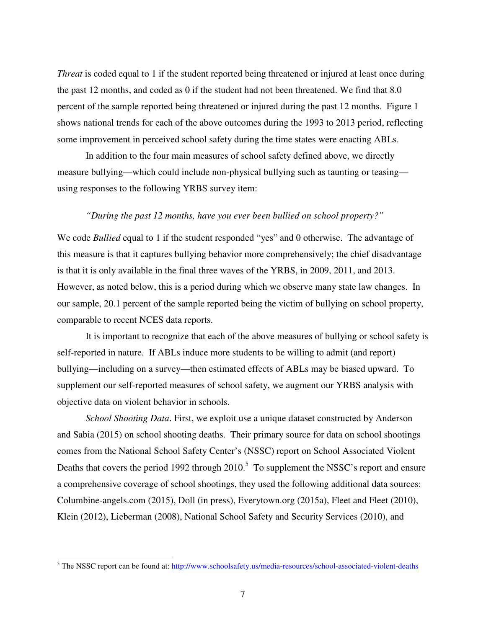*Threat* is coded equal to 1 if the student reported being threatened or injured at least once during the past 12 months, and coded as 0 if the student had not been threatened. We find that 8.0 percent of the sample reported being threatened or injured during the past 12 months. Figure 1 shows national trends for each of the above outcomes during the 1993 to 2013 period, reflecting some improvement in perceived school safety during the time states were enacting ABLs.

 In addition to the four main measures of school safety defined above, we directly measure bullying—which could include non-physical bullying such as taunting or teasing using responses to the following YRBS survey item:

#### *"During the past 12 months, have you ever been bullied on school property?"*

We code *Bullied* equal to 1 if the student responded "yes" and 0 otherwise. The advantage of this measure is that it captures bullying behavior more comprehensively; the chief disadvantage is that it is only available in the final three waves of the YRBS, in 2009, 2011, and 2013. However, as noted below, this is a period during which we observe many state law changes. In our sample, 20.1 percent of the sample reported being the victim of bullying on school property, comparable to recent NCES data reports.

 It is important to recognize that each of the above measures of bullying or school safety is self-reported in nature. If ABLs induce more students to be willing to admit (and report) bullying—including on a survey—then estimated effects of ABLs may be biased upward. To supplement our self-reported measures of school safety, we augment our YRBS analysis with objective data on violent behavior in schools.

*School Shooting Data*. First, we exploit use a unique dataset constructed by Anderson and Sabia (2015) on school shooting deaths. Their primary source for data on school shootings comes from the National School Safety Center's (NSSC) report on School Associated Violent Deaths that covers the period 1992 through  $2010$ .<sup>5</sup> To supplement the NSSC's report and ensure a comprehensive coverage of school shootings, they used the following additional data sources: Columbine-angels.com (2015), Doll (in press), Everytown.org (2015a), Fleet and Fleet (2010), Klein (2012), Lieberman (2008), National School Safety and Security Services (2010), and

 $\overline{a}$ 

<sup>&</sup>lt;sup>5</sup> The NSSC report can be found at: http://www.schoolsafety.us/media-resources/school-associated-violent-deaths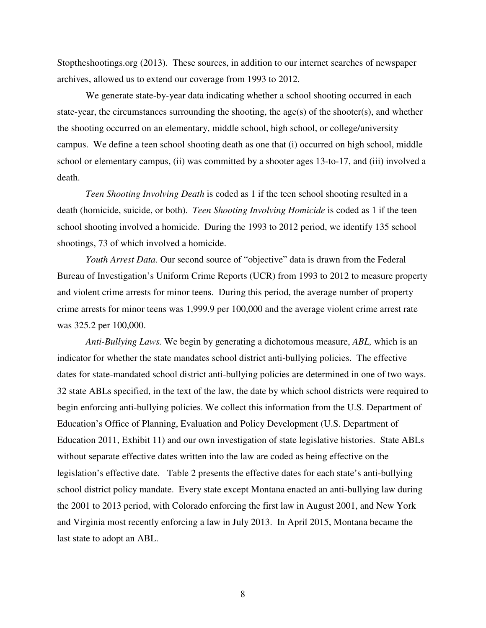Stoptheshootings.org (2013). These sources, in addition to our internet searches of newspaper archives, allowed us to extend our coverage from 1993 to 2012.

We generate state-by-year data indicating whether a school shooting occurred in each state-year, the circumstances surrounding the shooting, the age(s) of the shooter(s), and whether the shooting occurred on an elementary, middle school, high school, or college/university campus. We define a teen school shooting death as one that (i) occurred on high school, middle school or elementary campus, (ii) was committed by a shooter ages 13-to-17, and (iii) involved a death.

*Teen Shooting Involving Death* is coded as 1 if the teen school shooting resulted in a death (homicide, suicide, or both). *Teen Shooting Involving Homicide* is coded as 1 if the teen school shooting involved a homicide. During the 1993 to 2012 period, we identify 135 school shootings, 73 of which involved a homicide.

*Youth Arrest Data.* Our second source of "objective" data is drawn from the Federal Bureau of Investigation's Uniform Crime Reports (UCR) from 1993 to 2012 to measure property and violent crime arrests for minor teens. During this period, the average number of property crime arrests for minor teens was 1,999.9 per 100,000 and the average violent crime arrest rate was 325.2 per 100,000.

 *Anti-Bullying Laws.* We begin by generating a dichotomous measure, *ABL,* which is an indicator for whether the state mandates school district anti-bullying policies. The effective dates for state-mandated school district anti-bullying policies are determined in one of two ways. 32 state ABLs specified, in the text of the law, the date by which school districts were required to begin enforcing anti-bullying policies. We collect this information from the U.S. Department of Education's Office of Planning, Evaluation and Policy Development (U.S. Department of Education 2011, Exhibit 11) and our own investigation of state legislative histories. State ABLs without separate effective dates written into the law are coded as being effective on the legislation's effective date. Table 2 presents the effective dates for each state's anti-bullying school district policy mandate. Every state except Montana enacted an anti-bullying law during the 2001 to 2013 period, with Colorado enforcing the first law in August 2001, and New York and Virginia most recently enforcing a law in July 2013. In April 2015, Montana became the last state to adopt an ABL.

8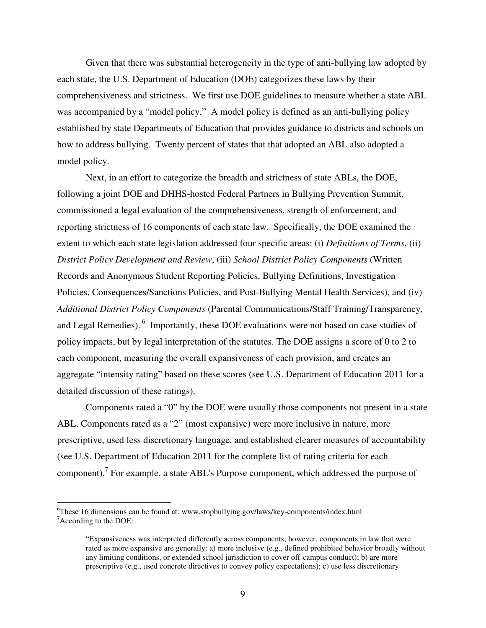Given that there was substantial heterogeneity in the type of anti-bullying law adopted by each state, the U.S. Department of Education (DOE) categorizes these laws by their comprehensiveness and strictness. We first use DOE guidelines to measure whether a state ABL was accompanied by a "model policy." A model policy is defined as an anti-bullying policy established by state Departments of Education that provides guidance to districts and schools on how to address bullying. Twenty percent of states that that adopted an ABL also adopted a model policy.

Next, in an effort to categorize the breadth and strictness of state ABLs, the DOE, following a joint DOE and DHHS-hosted Federal Partners in Bullying Prevention Summit, commissioned a legal evaluation of the comprehensiveness, strength of enforcement, and reporting strictness of 16 components of each state law. Specifically, the DOE examined the extent to which each state legislation addressed four specific areas: (i) *Definitions of Terms*, (ii) *District Policy Development and Review*, (iii) *School District Policy Components* (Written Records and Anonymous Student Reporting Policies, Bullying Definitions, Investigation Policies, Consequences/Sanctions Policies, and Post-Bullying Mental Health Services), and (iv) *Additional District Policy Components* (Parental Communications/Staff Training/Transparency, and Legal Remedies).<sup>6</sup> Importantly, these DOE evaluations were not based on case studies of policy impacts, but by legal interpretation of the statutes. The DOE assigns a score of 0 to 2 to each component, measuring the overall expansiveness of each provision, and creates an aggregate "intensity rating" based on these scores (see U.S. Department of Education 2011 for a detailed discussion of these ratings).

Components rated a "0" by the DOE were usually those components not present in a state ABL. Components rated as a "2" (most expansive) were more inclusive in nature, more prescriptive, used less discretionary language, and established clearer measures of accountability (see U.S. Department of Education 2011 for the complete list of rating criteria for each component).<sup>7</sup> For example, a state ABL's Purpose component, which addressed the purpose of

 $\overline{a}$ 

<sup>6</sup>These 16 dimensions can be found at: www.stopbullying.gov/laws/key-components/index.html <sup>7</sup>According to the DOE:

<sup>&</sup>quot;Expansiveness was interpreted differently across components; however, components in law that were rated as more expansive are generally: a) more inclusive (e.g., defined prohibited behavior broadly without any limiting conditions, or extended school jurisdiction to cover off-campus conduct); b) are more prescriptive (e.g., used concrete directives to convey policy expectations); c) use less discretionary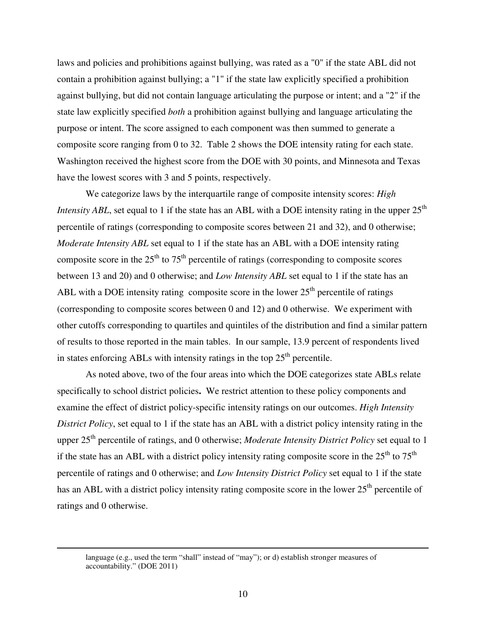laws and policies and prohibitions against bullying, was rated as a "0" if the state ABL did not contain a prohibition against bullying; a "1" if the state law explicitly specified a prohibition against bullying, but did not contain language articulating the purpose or intent; and a "2" if the state law explicitly specified *both* a prohibition against bullying and language articulating the purpose or intent. The score assigned to each component was then summed to generate a composite score ranging from 0 to 32. Table 2 shows the DOE intensity rating for each state. Washington received the highest score from the DOE with 30 points, and Minnesota and Texas have the lowest scores with 3 and 5 points, respectively.

We categorize laws by the interquartile range of composite intensity scores: *High Intensity ABL*, set equal to 1 if the state has an ABL with a DOE intensity rating in the upper  $25<sup>th</sup>$ percentile of ratings (corresponding to composite scores between 21 and 32), and 0 otherwise; *Moderate Intensity ABL* set equal to 1 if the state has an ABL with a DOE intensity rating composite score in the  $25<sup>th</sup>$  to  $75<sup>th</sup>$  percentile of ratings (corresponding to composite scores between 13 and 20) and 0 otherwise; and *Low Intensity ABL* set equal to 1 if the state has an ABL with a DOE intensity rating composite score in the lower  $25<sup>th</sup>$  percentile of ratings (corresponding to composite scores between 0 and 12) and 0 otherwise. We experiment with other cutoffs corresponding to quartiles and quintiles of the distribution and find a similar pattern of results to those reported in the main tables. In our sample, 13.9 percent of respondents lived in states enforcing ABLs with intensity ratings in the top  $25<sup>th</sup>$  percentile.

As noted above, two of the four areas into which the DOE categorizes state ABLs relate specifically to school district policies**.** We restrict attention to these policy components and examine the effect of district policy-specific intensity ratings on our outcomes. *High Intensity District Policy*, set equal to 1 if the state has an ABL with a district policy intensity rating in the upper 25<sup>th</sup> percentile of ratings, and 0 otherwise; *Moderate Intensity District Policy* set equal to 1 if the state has an ABL with a district policy intensity rating composite score in the  $25<sup>th</sup>$  to  $75<sup>th</sup>$ percentile of ratings and 0 otherwise; and *Low Intensity District Policy* set equal to 1 if the state has an ABL with a district policy intensity rating composite score in the lower 25<sup>th</sup> percentile of ratings and 0 otherwise.

language (e.g., used the term "shall" instead of "may"); or d) establish stronger measures of accountability." (DOE 2011)

 $\overline{a}$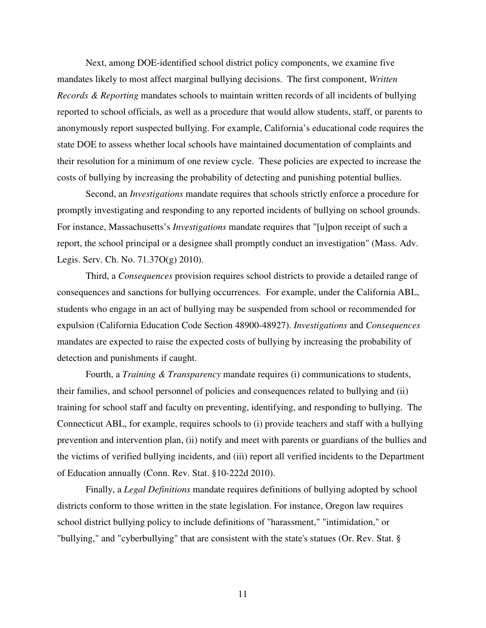Next, among DOE-identified school district policy components, we examine five mandates likely to most affect marginal bullying decisions. The first component, *Written Records & Reporting* mandates schools to maintain written records of all incidents of bullying reported to school officials, as well as a procedure that would allow students, staff, or parents to anonymously report suspected bullying. For example, California's educational code requires the state DOE to assess whether local schools have maintained documentation of complaints and their resolution for a minimum of one review cycle. These policies are expected to increase the costs of bullying by increasing the probability of detecting and punishing potential bullies.

Second, an *Investigations* mandate requires that schools strictly enforce a procedure for promptly investigating and responding to any reported incidents of bullying on school grounds. For instance, Massachusetts's *Investigations* mandate requires that "[u]pon receipt of such a report, the school principal or a designee shall promptly conduct an investigation" (Mass. Adv. Legis. Serv. Ch. No. 71.37O(g) 2010).

Third, a *Consequences* provision requires school districts to provide a detailed range of consequences and sanctions for bullying occurrences. For example, under the California ABL, students who engage in an act of bullying may be suspended from school or recommended for expulsion (California Education Code Section 48900-48927). *Investigations* and *Consequences*  mandates are expected to raise the expected costs of bullying by increasing the probability of detection and punishments if caught.

Fourth, a *Training & Transparency* mandate requires (i) communications to students, their families, and school personnel of policies and consequences related to bullying and (ii) training for school staff and faculty on preventing, identifying, and responding to bullying. The Connecticut ABL, for example, requires schools to (i) provide teachers and staff with a bullying prevention and intervention plan, (ii) notify and meet with parents or guardians of the bullies and the victims of verified bullying incidents, and (iii) report all verified incidents to the Department of Education annually (Conn. Rev. Stat. §10-222d 2010).

 Finally, a *Legal Definitions* mandate requires definitions of bullying adopted by school districts conform to those written in the state legislation. For instance, Oregon law requires school district bullying policy to include definitions of "harassment," "intimidation," or "bullying," and "cyberbullying" that are consistent with the state's statues (Or. Rev. Stat. §

11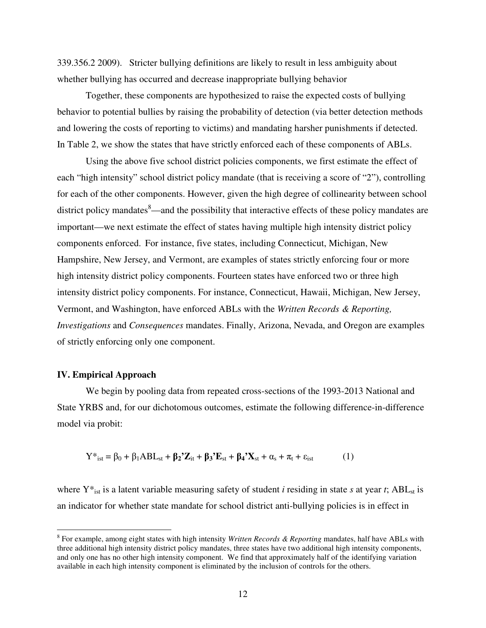339.356.2 2009). Stricter bullying definitions are likely to result in less ambiguity about whether bullying has occurred and decrease inappropriate bullying behavior

Together, these components are hypothesized to raise the expected costs of bullying behavior to potential bullies by raising the probability of detection (via better detection methods and lowering the costs of reporting to victims) and mandating harsher punishments if detected. In Table 2, we show the states that have strictly enforced each of these components of ABLs.

Using the above five school district policies components, we first estimate the effect of each "high intensity" school district policy mandate (that is receiving a score of "2"), controlling for each of the other components. However, given the high degree of collinearity between school district policy mandates $\delta$ —and the possibility that interactive effects of these policy mandates are important—we next estimate the effect of states having multiple high intensity district policy components enforced. For instance, five states, including Connecticut, Michigan, New Hampshire, New Jersey, and Vermont, are examples of states strictly enforcing four or more high intensity district policy components. Fourteen states have enforced two or three high intensity district policy components. For instance, Connecticut, Hawaii, Michigan, New Jersey, Vermont, and Washington, have enforced ABLs with the *Written Records & Reporting, Investigations* and *Consequences* mandates. Finally, Arizona, Nevada, and Oregon are examples of strictly enforcing only one component.

#### **IV. Empirical Approach**

 $\overline{a}$ 

 We begin by pooling data from repeated cross-sections of the 1993-2013 National and State YRBS and, for our dichotomous outcomes, estimate the following difference-in-difference model via probit:

$$
Y^*_{\text{ist}} = \beta_0 + \beta_1 ABL_{\text{st}} + \beta_2'Z_{\text{it}} + \beta_3'E_{\text{st}} + \beta_4'X_{\text{st}} + \alpha_s + \pi_t + \varepsilon_{\text{ist}}
$$
 (1)

where  $Y^*_{ist}$  is a latent variable measuring safety of student *i* residing in state *s* at year *t*; ABL<sub>st</sub> is an indicator for whether state mandate for school district anti-bullying policies is in effect in

<sup>8</sup> For example, among eight states with high intensity *Written Records & Reporting* mandates, half have ABLs with three additional high intensity district policy mandates, three states have two additional high intensity components, and only one has no other high intensity component. We find that approximately half of the identifying variation available in each high intensity component is eliminated by the inclusion of controls for the others.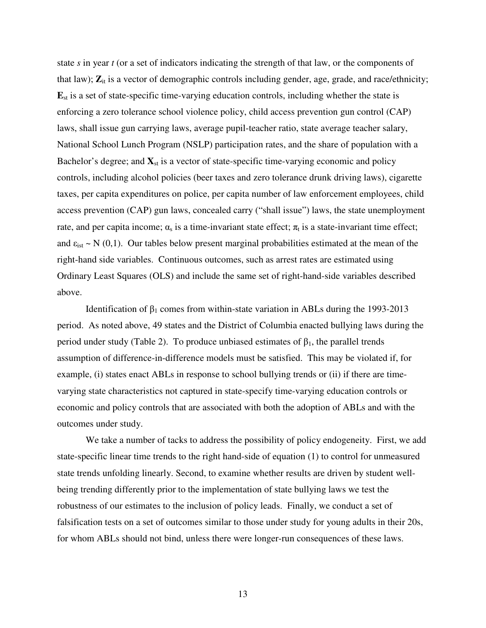state *s* in year *t* (or a set of indicators indicating the strength of that law, or the components of that law);  $\mathbf{Z}_{it}$  is a vector of demographic controls including gender, age, grade, and race/ethnicity; **E**st is a set of state-specific time-varying education controls, including whether the state is enforcing a zero tolerance school violence policy, child access prevention gun control (CAP) laws, shall issue gun carrying laws, average pupil-teacher ratio, state average teacher salary, National School Lunch Program (NSLP) participation rates, and the share of population with a Bachelor's degree; and  $\mathbf{X}_{st}$  is a vector of state-specific time-varying economic and policy controls, including alcohol policies (beer taxes and zero tolerance drunk driving laws), cigarette taxes, per capita expenditures on police, per capita number of law enforcement employees, child access prevention (CAP) gun laws, concealed carry ("shall issue") laws, the state unemployment rate, and per capita income;  $\alpha_s$  is a time-invariant state effect;  $\pi_t$  is a state-invariant time effect; and  $\varepsilon_{\rm{ist}} \sim N(0,1)$ . Our tables below present marginal probabilities estimated at the mean of the right-hand side variables. Continuous outcomes, such as arrest rates are estimated using Ordinary Least Squares (OLS) and include the same set of right-hand-side variables described above.

Identification of  $β_1$  comes from within-state variation in ABLs during the 1993-2013 period. As noted above, 49 states and the District of Columbia enacted bullying laws during the period under study (Table 2). To produce unbiased estimates of  $β_1$ , the parallel trends assumption of difference-in-difference models must be satisfied. This may be violated if, for example, (i) states enact ABLs in response to school bullying trends or (ii) if there are timevarying state characteristics not captured in state-specify time-varying education controls or economic and policy controls that are associated with both the adoption of ABLs and with the outcomes under study.

We take a number of tacks to address the possibility of policy endogeneity. First, we add state-specific linear time trends to the right hand-side of equation (1) to control for unmeasured state trends unfolding linearly. Second, to examine whether results are driven by student wellbeing trending differently prior to the implementation of state bullying laws we test the robustness of our estimates to the inclusion of policy leads. Finally, we conduct a set of falsification tests on a set of outcomes similar to those under study for young adults in their 20s, for whom ABLs should not bind, unless there were longer-run consequences of these laws.

13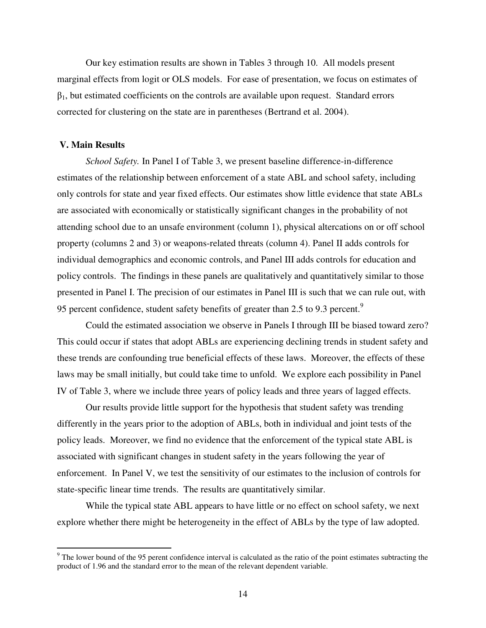Our key estimation results are shown in Tables 3 through 10. All models present marginal effects from logit or OLS models. For ease of presentation, we focus on estimates of  $\beta_1$ , but estimated coefficients on the controls are available upon request. Standard errors corrected for clustering on the state are in parentheses (Bertrand et al. 2004).

#### **V. Main Results**

*School Safety.* In Panel I of Table 3, we present baseline difference-in-difference estimates of the relationship between enforcement of a state ABL and school safety, including only controls for state and year fixed effects. Our estimates show little evidence that state ABLs are associated with economically or statistically significant changes in the probability of not attending school due to an unsafe environment (column 1), physical altercations on or off school property (columns 2 and 3) or weapons-related threats (column 4). Panel II adds controls for individual demographics and economic controls, and Panel III adds controls for education and policy controls. The findings in these panels are qualitatively and quantitatively similar to those presented in Panel I. The precision of our estimates in Panel III is such that we can rule out, with 95 percent confidence, student safety benefits of greater than 2.5 to 9.3 percent.<sup>9</sup>

Could the estimated association we observe in Panels I through III be biased toward zero? This could occur if states that adopt ABLs are experiencing declining trends in student safety and these trends are confounding true beneficial effects of these laws. Moreover, the effects of these laws may be small initially, but could take time to unfold. We explore each possibility in Panel IV of Table 3, where we include three years of policy leads and three years of lagged effects.

Our results provide little support for the hypothesis that student safety was trending differently in the years prior to the adoption of ABLs, both in individual and joint tests of the policy leads. Moreover, we find no evidence that the enforcement of the typical state ABL is associated with significant changes in student safety in the years following the year of enforcement. In Panel V, we test the sensitivity of our estimates to the inclusion of controls for state-specific linear time trends. The results are quantitatively similar.

 While the typical state ABL appears to have little or no effect on school safety, we next explore whether there might be heterogeneity in the effect of ABLs by the type of law adopted.

<sup>&</sup>lt;sup>9</sup> The lower bound of the 95 perent confidence interval is calculated as the ratio of the point estimates subtracting the product of 1.96 and the standard error to the mean of the relevant dependent variable.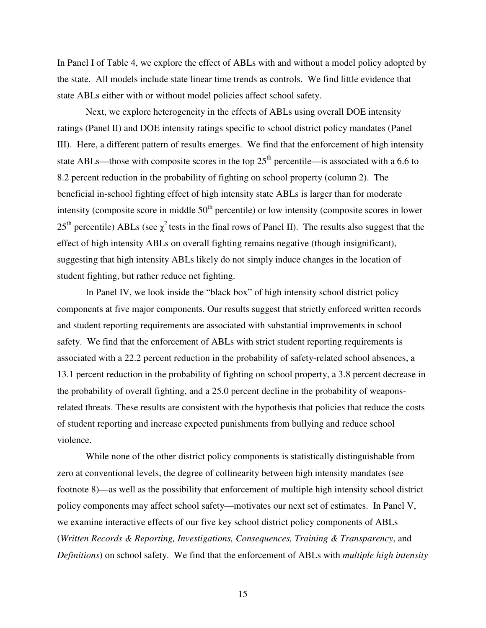In Panel I of Table 4, we explore the effect of ABLs with and without a model policy adopted by the state. All models include state linear time trends as controls. We find little evidence that state ABLs either with or without model policies affect school safety.

 Next, we explore heterogeneity in the effects of ABLs using overall DOE intensity ratings (Panel II) and DOE intensity ratings specific to school district policy mandates (Panel III). Here, a different pattern of results emerges. We find that the enforcement of high intensity state ABLs—those with composite scores in the top  $25<sup>th</sup>$  percentile—is associated with a 6.6 to 8.2 percent reduction in the probability of fighting on school property (column 2). The beneficial in-school fighting effect of high intensity state ABLs is larger than for moderate intensity (composite score in middle  $50<sup>th</sup>$  percentile) or low intensity (composite scores in lower 25<sup>th</sup> percentile) ABLs (see  $\chi^2$  tests in the final rows of Panel II). The results also suggest that the effect of high intensity ABLs on overall fighting remains negative (though insignificant), suggesting that high intensity ABLs likely do not simply induce changes in the location of student fighting, but rather reduce net fighting.

In Panel IV, we look inside the "black box" of high intensity school district policy components at five major components. Our results suggest that strictly enforced written records and student reporting requirements are associated with substantial improvements in school safety. We find that the enforcement of ABLs with strict student reporting requirements is associated with a 22.2 percent reduction in the probability of safety-related school absences, a 13.1 percent reduction in the probability of fighting on school property, a 3.8 percent decrease in the probability of overall fighting, and a 25.0 percent decline in the probability of weaponsrelated threats. These results are consistent with the hypothesis that policies that reduce the costs of student reporting and increase expected punishments from bullying and reduce school violence.

While none of the other district policy components is statistically distinguishable from zero at conventional levels, the degree of collinearity between high intensity mandates (see footnote 8)—as well as the possibility that enforcement of multiple high intensity school district policy components may affect school safety—motivates our next set of estimates. In Panel V, we examine interactive effects of our five key school district policy components of ABLs (*Written Records & Reporting, Investigations, Consequences, Training & Transparency*, and *Definitions*) on school safety. We find that the enforcement of ABLs with *multiple high intensity* 

15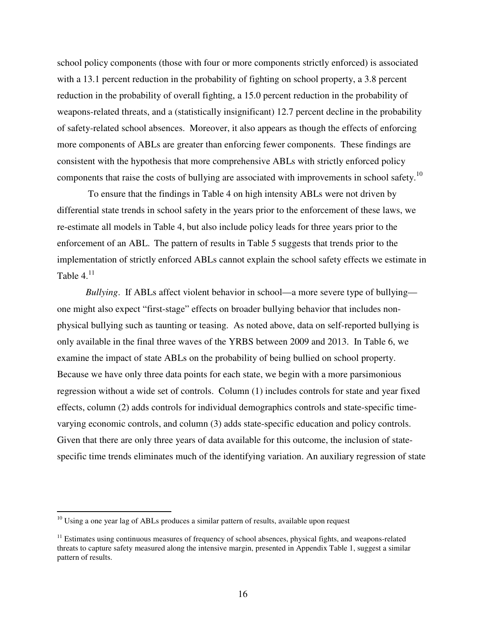school policy components (those with four or more components strictly enforced) is associated with a 13.1 percent reduction in the probability of fighting on school property, a 3.8 percent reduction in the probability of overall fighting, a 15.0 percent reduction in the probability of weapons-related threats, and a (statistically insignificant) 12.7 percent decline in the probability of safety-related school absences. Moreover, it also appears as though the effects of enforcing more components of ABLs are greater than enforcing fewer components. These findings are consistent with the hypothesis that more comprehensive ABLs with strictly enforced policy components that raise the costs of bullying are associated with improvements in school safety.<sup>10</sup>

 To ensure that the findings in Table 4 on high intensity ABLs were not driven by differential state trends in school safety in the years prior to the enforcement of these laws, we re-estimate all models in Table 4, but also include policy leads for three years prior to the enforcement of an ABL. The pattern of results in Table 5 suggests that trends prior to the implementation of strictly enforced ABLs cannot explain the school safety effects we estimate in Table  $4<sup>11</sup>$ 

*Bullying*. If ABLs affect violent behavior in school—a more severe type of bullying one might also expect "first-stage" effects on broader bullying behavior that includes nonphysical bullying such as taunting or teasing. As noted above, data on self-reported bullying is only available in the final three waves of the YRBS between 2009 and 2013. In Table 6, we examine the impact of state ABLs on the probability of being bullied on school property. Because we have only three data points for each state, we begin with a more parsimonious regression without a wide set of controls. Column (1) includes controls for state and year fixed effects, column (2) adds controls for individual demographics controls and state-specific timevarying economic controls, and column (3) adds state-specific education and policy controls. Given that there are only three years of data available for this outcome, the inclusion of statespecific time trends eliminates much of the identifying variation. An auxiliary regression of state

 $\overline{a}$ 

 $10$  Using a one year lag of ABLs produces a similar pattern of results, available upon request

<sup>&</sup>lt;sup>11</sup> Estimates using continuous measures of frequency of school absences, physical fights, and weapons-related threats to capture safety measured along the intensive margin, presented in Appendix Table 1, suggest a similar pattern of results.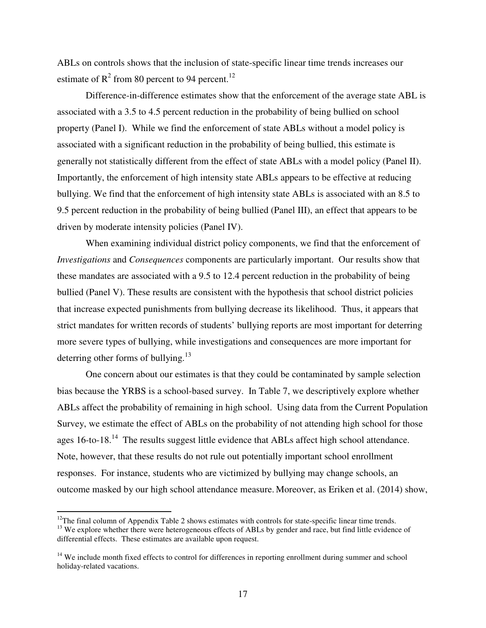ABLs on controls shows that the inclusion of state-specific linear time trends increases our estimate of  $R^2$  from 80 percent to 94 percent.<sup>12</sup>

Difference-in-difference estimates show that the enforcement of the average state ABL is associated with a 3.5 to 4.5 percent reduction in the probability of being bullied on school property (Panel I). While we find the enforcement of state ABLs without a model policy is associated with a significant reduction in the probability of being bullied, this estimate is generally not statistically different from the effect of state ABLs with a model policy (Panel II). Importantly, the enforcement of high intensity state ABLs appears to be effective at reducing bullying. We find that the enforcement of high intensity state ABLs is associated with an 8.5 to 9.5 percent reduction in the probability of being bullied (Panel III), an effect that appears to be driven by moderate intensity policies (Panel IV).

When examining individual district policy components, we find that the enforcement of *Investigations* and *Consequences* components are particularly important. Our results show that these mandates are associated with a 9.5 to 12.4 percent reduction in the probability of being bullied (Panel V). These results are consistent with the hypothesis that school district policies that increase expected punishments from bullying decrease its likelihood. Thus, it appears that strict mandates for written records of students' bullying reports are most important for deterring more severe types of bullying, while investigations and consequences are more important for deterring other forms of bullying. $13$ 

One concern about our estimates is that they could be contaminated by sample selection bias because the YRBS is a school-based survey. In Table 7, we descriptively explore whether ABLs affect the probability of remaining in high school. Using data from the Current Population Survey, we estimate the effect of ABLs on the probability of not attending high school for those ages 16-to-18.<sup>14</sup> The results suggest little evidence that ABLs affect high school attendance. Note, however, that these results do not rule out potentially important school enrollment responses. For instance, students who are victimized by bullying may change schools, an outcome masked by our high school attendance measure. Moreover, as Eriken et al. (2014) show,

 $\overline{a}$ 

 $12$ The final column of Appendix Table 2 shows estimates with controls for state-specific linear time trends. <sup>13</sup> We explore whether there were heterogeneous effects of ABLs by gender and race, but find little evidence of differential effects. These estimates are available upon request.

<sup>&</sup>lt;sup>14</sup> We include month fixed effects to control for differences in reporting enrollment during summer and school holiday-related vacations.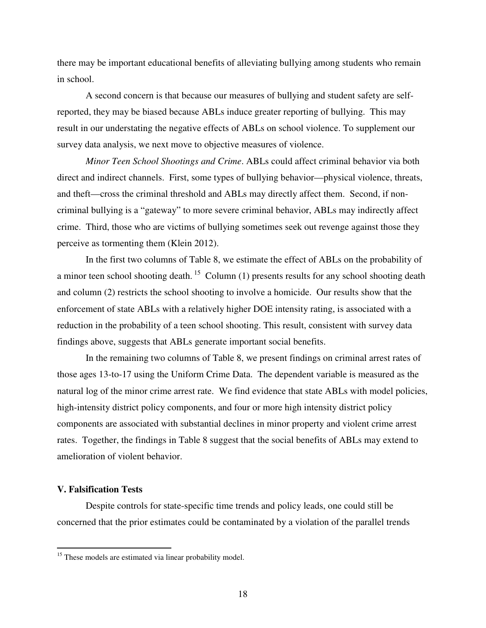there may be important educational benefits of alleviating bullying among students who remain in school.

A second concern is that because our measures of bullying and student safety are selfreported, they may be biased because ABLs induce greater reporting of bullying. This may result in our understating the negative effects of ABLs on school violence. To supplement our survey data analysis, we next move to objective measures of violence.

*Minor Teen School Shootings and Crime*. ABLs could affect criminal behavior via both direct and indirect channels. First, some types of bullying behavior—physical violence, threats, and theft—cross the criminal threshold and ABLs may directly affect them. Second, if noncriminal bullying is a "gateway" to more severe criminal behavior, ABLs may indirectly affect crime. Third, those who are victims of bullying sometimes seek out revenge against those they perceive as tormenting them (Klein 2012).

In the first two columns of Table 8, we estimate the effect of ABLs on the probability of a minor teen school shooting death.<sup>15</sup> Column (1) presents results for any school shooting death and column (2) restricts the school shooting to involve a homicide. Our results show that the enforcement of state ABLs with a relatively higher DOE intensity rating, is associated with a reduction in the probability of a teen school shooting. This result, consistent with survey data findings above, suggests that ABLs generate important social benefits.

In the remaining two columns of Table 8, we present findings on criminal arrest rates of those ages 13-to-17 using the Uniform Crime Data. The dependent variable is measured as the natural log of the minor crime arrest rate. We find evidence that state ABLs with model policies, high-intensity district policy components, and four or more high intensity district policy components are associated with substantial declines in minor property and violent crime arrest rates. Together, the findings in Table 8 suggest that the social benefits of ABLs may extend to amelioration of violent behavior.

#### **V. Falsification Tests**

 $\overline{a}$ 

Despite controls for state-specific time trends and policy leads, one could still be concerned that the prior estimates could be contaminated by a violation of the parallel trends

<sup>&</sup>lt;sup>15</sup> These models are estimated via linear probability model.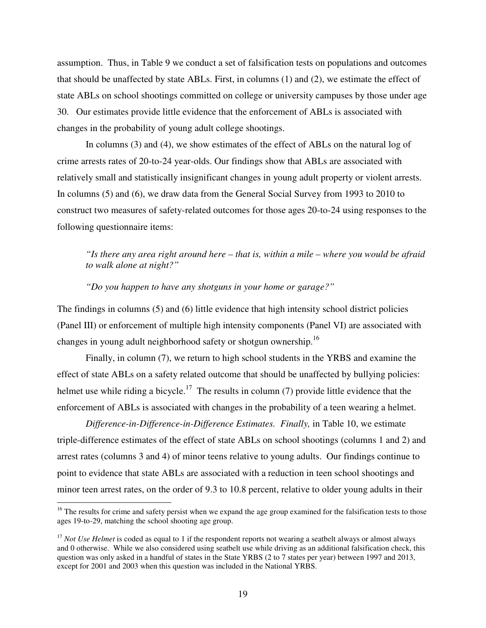assumption. Thus, in Table 9 we conduct a set of falsification tests on populations and outcomes that should be unaffected by state ABLs. First, in columns (1) and (2), we estimate the effect of state ABLs on school shootings committed on college or university campuses by those under age 30. Our estimates provide little evidence that the enforcement of ABLs is associated with changes in the probability of young adult college shootings.

In columns (3) and (4), we show estimates of the effect of ABLs on the natural log of crime arrests rates of 20-to-24 year-olds. Our findings show that ABLs are associated with relatively small and statistically insignificant changes in young adult property or violent arrests. In columns (5) and (6), we draw data from the General Social Survey from 1993 to 2010 to construct two measures of safety-related outcomes for those ages 20-to-24 using responses to the following questionnaire items:

*"Is there any area right around here – that is, within a mile – where you would be afraid to walk alone at night?"* 

#### *"Do you happen to have any shotguns in your home or garage?"*

The findings in columns (5) and (6) little evidence that high intensity school district policies (Panel III) or enforcement of multiple high intensity components (Panel VI) are associated with changes in young adult neighborhood safety or shotgun ownership.<sup>16</sup>

Finally, in column (7), we return to high school students in the YRBS and examine the effect of state ABLs on a safety related outcome that should be unaffected by bullying policies: helmet use while riding a bicycle.<sup>17</sup> The results in column (7) provide little evidence that the enforcement of ABLs is associated with changes in the probability of a teen wearing a helmet.

*Difference-in-Difference-in-Difference Estimates. Finally,* in Table 10, we estimate triple-difference estimates of the effect of state ABLs on school shootings (columns 1 and 2) and arrest rates (columns 3 and 4) of minor teens relative to young adults. Our findings continue to point to evidence that state ABLs are associated with a reduction in teen school shootings and minor teen arrest rates, on the order of 9.3 to 10.8 percent, relative to older young adults in their

 $\overline{a}$ 

 $16$  The results for crime and safety persist when we expand the age group examined for the falsification tests to those ages 19-to-29, matching the school shooting age group.

<sup>&</sup>lt;sup>17</sup> *Not Use Helmet* is coded as equal to 1 if the respondent reports not wearing a seatbelt always or almost always and 0 otherwise. While we also considered using seatbelt use while driving as an additional falsification check, this question was only asked in a handful of states in the State YRBS (2 to 7 states per year) between 1997 and 2013, except for 2001 and 2003 when this question was included in the National YRBS.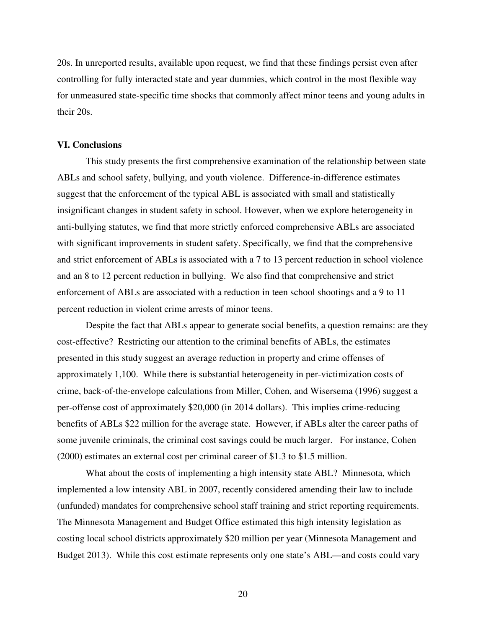20s. In unreported results, available upon request, we find that these findings persist even after controlling for fully interacted state and year dummies, which control in the most flexible way for unmeasured state-specific time shocks that commonly affect minor teens and young adults in their 20s.

#### **VI. Conclusions**

This study presents the first comprehensive examination of the relationship between state ABLs and school safety, bullying, and youth violence. Difference-in-difference estimates suggest that the enforcement of the typical ABL is associated with small and statistically insignificant changes in student safety in school. However, when we explore heterogeneity in anti-bullying statutes, we find that more strictly enforced comprehensive ABLs are associated with significant improvements in student safety. Specifically, we find that the comprehensive and strict enforcement of ABLs is associated with a 7 to 13 percent reduction in school violence and an 8 to 12 percent reduction in bullying. We also find that comprehensive and strict enforcement of ABLs are associated with a reduction in teen school shootings and a 9 to 11 percent reduction in violent crime arrests of minor teens.

Despite the fact that ABLs appear to generate social benefits, a question remains: are they cost-effective? Restricting our attention to the criminal benefits of ABLs, the estimates presented in this study suggest an average reduction in property and crime offenses of approximately 1,100. While there is substantial heterogeneity in per-victimization costs of crime, back-of-the-envelope calculations from Miller, Cohen, and Wisersema (1996) suggest a per-offense cost of approximately \$20,000 (in 2014 dollars). This implies crime-reducing benefits of ABLs \$22 million for the average state. However, if ABLs alter the career paths of some juvenile criminals, the criminal cost savings could be much larger. For instance, Cohen (2000) estimates an external cost per criminal career of \$1.3 to \$1.5 million.

What about the costs of implementing a high intensity state ABL? Minnesota, which implemented a low intensity ABL in 2007, recently considered amending their law to include (unfunded) mandates for comprehensive school staff training and strict reporting requirements. The Minnesota Management and Budget Office estimated this high intensity legislation as costing local school districts approximately \$20 million per year (Minnesota Management and Budget 2013). While this cost estimate represents only one state's ABL—and costs could vary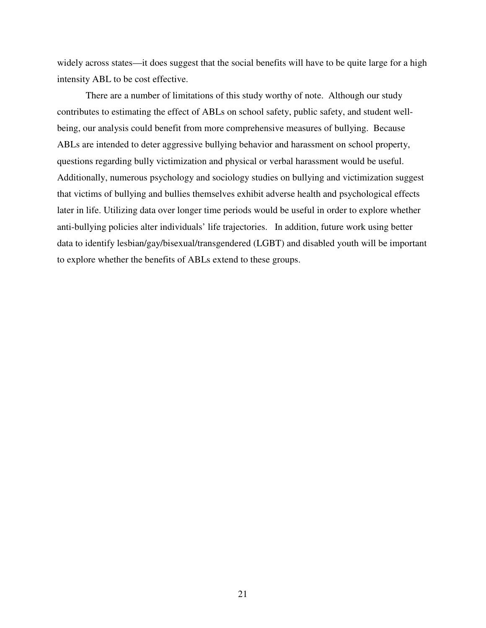widely across states—it does suggest that the social benefits will have to be quite large for a high intensity ABL to be cost effective.

There are a number of limitations of this study worthy of note. Although our study contributes to estimating the effect of ABLs on school safety, public safety, and student wellbeing, our analysis could benefit from more comprehensive measures of bullying. Because ABLs are intended to deter aggressive bullying behavior and harassment on school property, questions regarding bully victimization and physical or verbal harassment would be useful. Additionally, numerous psychology and sociology studies on bullying and victimization suggest that victims of bullying and bullies themselves exhibit adverse health and psychological effects later in life. Utilizing data over longer time periods would be useful in order to explore whether anti-bullying policies alter individuals' life trajectories. In addition, future work using better data to identify lesbian/gay/bisexual/transgendered (LGBT) and disabled youth will be important to explore whether the benefits of ABLs extend to these groups.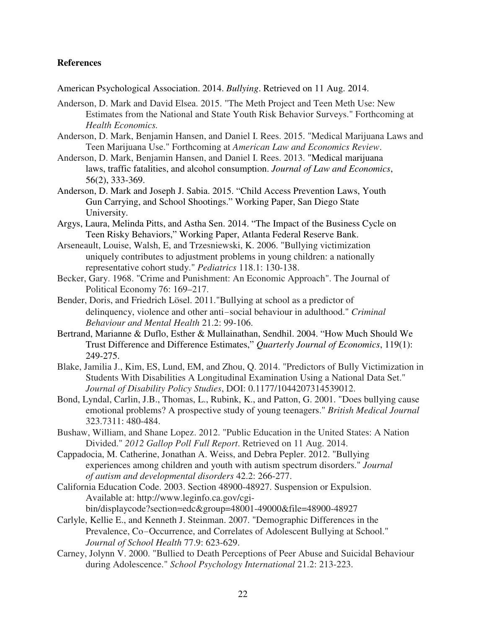#### **References**

American Psychological Association. 2014. *Bullying*. Retrieved on 11 Aug. 2014.

- Anderson, D. Mark and David Elsea. 2015. "The Meth Project and Teen Meth Use: New Estimates from the National and State Youth Risk Behavior Surveys." Forthcoming at *Health Economics.*
- Anderson, D. Mark, Benjamin Hansen, and Daniel I. Rees. 2015. "Medical Marijuana Laws and Teen Marijuana Use." Forthcoming at *American Law and Economics Review*.
- Anderson, D. Mark, Benjamin Hansen, and Daniel I. Rees. 2013. "Medical marijuana laws, traffic fatalities, and alcohol consumption. *Journal of Law and Economics*, 56(2), 333-369.
- Anderson, D. Mark and Joseph J. Sabia. 2015. "Child Access Prevention Laws, Youth Gun Carrying, and School Shootings." Working Paper, San Diego State University.
- Argys, Laura, Melinda Pitts, and Astha Sen. 2014. "The Impact of the Business Cycle on Teen Risky Behaviors," Working Paper, Atlanta Federal Reserve Bank.
- Arseneault, Louise, Walsh, E, and Trzesniewski, K. 2006. "Bullying victimization uniquely contributes to adjustment problems in young children: a nationally representative cohort study." *Pediatrics* 118.1: 130-138.
- Becker, Gary. 1968. "Crime and Punishment: An Economic Approach". The Journal of Political Economy 76: 169–217.
- Bender, Doris, and Friedrich Lösel. 2011."Bullying at school as a predictor of delinquency, violence and other anti-social behaviour in adulthood." *Criminal Behaviour and Mental Health* 21.2: 99-106.
- Bertrand, Marianne & Duflo, Esther & Mullainathan, Sendhil. 2004. "How Much Should We Trust Difference and Difference Estimates," *Quarterly Journal of Economics*, 119(1): 249-275.
- Blake, Jamilia J., Kim, ES, Lund, EM, and Zhou, Q. 2014. "Predictors of Bully Victimization in Students With Disabilities A Longitudinal Examination Using a National Data Set." *Journal of Disability Policy Studies*, DOI: 0.1177/1044207314539012.
- Bond, Lyndal, Carlin, J.B., Thomas, L., Rubink, K., and Patton, G. 2001. "Does bullying cause emotional problems? A prospective study of young teenagers." *British Medical Journal*  323.7311: 480-484.
- Bushaw, William, and Shane Lopez. 2012. "Public Education in the United States: A Nation Divided." *2012 Gallop Poll Full Report*. Retrieved on 11 Aug. 2014.
- Cappadocia, M. Catherine, Jonathan A. Weiss, and Debra Pepler. 2012. "Bullying experiences among children and youth with autism spectrum disorders." *Journal of autism and developmental disorders* 42.2: 266-277.
- California Education Code. 2003. Section 48900-48927. Suspension or Expulsion. Available at: http://www.leginfo.ca.gov/cgibin/displaycode?section=edc&group=48001-49000&file=48900-48927
- Carlyle, Kellie E., and Kenneth J. Steinman. 2007. "Demographic Differences in the Prevalence, Co-Occurrence, and Correlates of Adolescent Bullying at School." *Journal of School Health* 77.9: 623-629.
- Carney, Jolynn V. 2000. "Bullied to Death Perceptions of Peer Abuse and Suicidal Behaviour during Adolescence." *School Psychology International* 21.2: 213-223.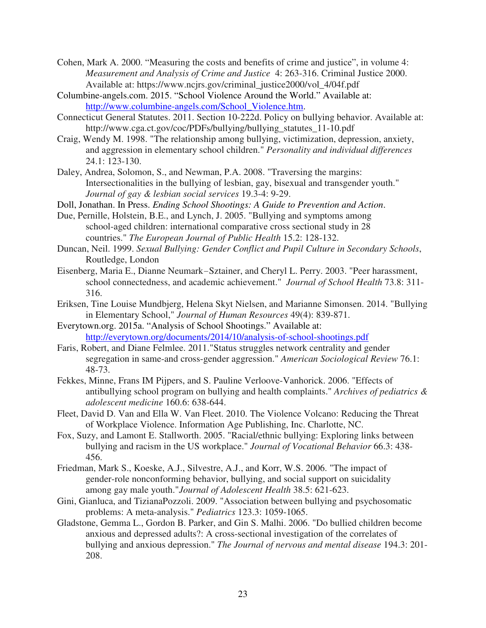- Cohen, Mark A. 2000. "Measuring the costs and benefits of crime and justice", in volume 4: *Measurement and Analysis of Crime and Justice* 4: 263-316. Criminal Justice 2000. Available at: https://www.ncjrs.gov/criminal\_justice2000/vol\_4/04f.pdf
- Columbine-angels.com. 2015. "School Violence Around the World." Available at: http://www.columbine-angels.com/School\_Violence.htm.
- Connecticut General Statutes. 2011. Section 10-222d. Policy on bullying behavior. Available at: http://www.cga.ct.gov/coc/PDFs/bullying/bullying\_statutes\_11-10.pdf
- Craig, Wendy M. 1998. "The relationship among bullying, victimization, depression, anxiety, and aggression in elementary school children." *Personality and individual differences* 24.1: 123-130.
- Daley, Andrea, Solomon, S., and Newman, P.A. 2008. "Traversing the margins: Intersectionalities in the bullying of lesbian, gay, bisexual and transgender youth." *Journal of gay & lesbian social services* 19.3-4: 9-29.
- Doll, Jonathan. In Press. *Ending School Shootings: A Guide to Prevention and Action*.
- Due, Pernille, Holstein, B.E., and Lynch, J. 2005. "Bullying and symptoms among school-aged children: international comparative cross sectional study in 28 countries." *The European Journal of Public Health* 15.2: 128-132.
- Duncan, Neil. 1999. *Sexual Bullying: Gender Conflict and Pupil Culture in Secondary Schools*, Routledge, London
- Eisenberg, Maria E., Dianne Neumark-Sztainer, and Cheryl L. Perry. 2003. "Peer harassment, school connectedness, and academic achievement." *Journal of School Health* 73.8: 311- 316.
- Eriksen, Tine Louise Mundbjerg, Helena Skyt Nielsen, and Marianne Simonsen. 2014. "Bullying in Elementary School," *Journal of Human Resources* 49(4): 839-871.
- Everytown.org. 2015a. "Analysis of School Shootings." Available at: http://everytown.org/documents/2014/10/analysis-of-school-shootings.pdf
- Faris, Robert, and Diane Felmlee. 2011."Status struggles network centrality and gender segregation in same-and cross-gender aggression." *American Sociological Review* 76.1: 48-73.
- Fekkes, Minne, Frans IM Pijpers, and S. Pauline Verloove-Vanhorick. 2006. "Effects of antibullying school program on bullying and health complaints." *Archives of pediatrics & adolescent medicine* 160.6: 638-644.
- Fleet, David D. Van and Ella W. Van Fleet. 2010. The Violence Volcano: Reducing the Threat of Workplace Violence. Information Age Publishing, Inc. Charlotte, NC.
- Fox, Suzy, and Lamont E. Stallworth. 2005. "Racial/ethnic bullying: Exploring links between bullying and racism in the US workplace." *Journal of Vocational Behavior* 66.3: 438- 456.
- Friedman, Mark S., Koeske, A.J., Silvestre, A.J., and Korr, W.S. 2006. "The impact of gender-role nonconforming behavior, bullying, and social support on suicidality among gay male youth."*Journal of Adolescent Health* 38.5: 621-623.
- Gini, Gianluca, and TizianaPozzoli. 2009. "Association between bullying and psychosomatic problems: A meta-analysis." *Pediatrics* 123.3: 1059-1065.
- Gladstone, Gemma L., Gordon B. Parker, and Gin S. Malhi. 2006. "Do bullied children become anxious and depressed adults?: A cross-sectional investigation of the correlates of bullying and anxious depression." *The Journal of nervous and mental disease* 194.3: 201- 208.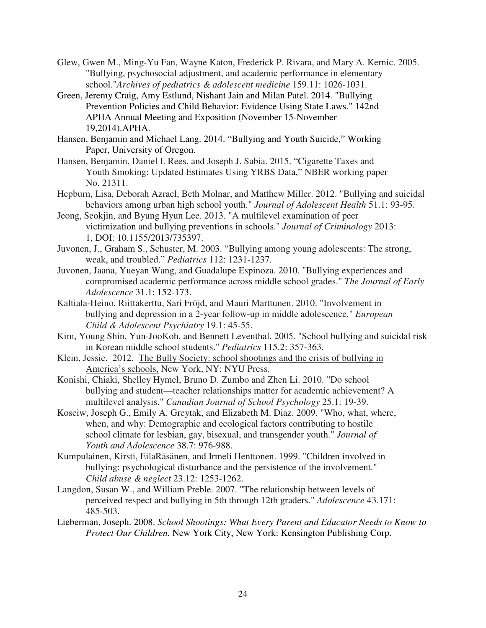- Glew, Gwen M., Ming-Yu Fan, Wayne Katon, Frederick P. Rivara, and Mary A. Kernic. 2005. "Bullying, psychosocial adjustment, and academic performance in elementary school."*Archives of pediatrics & adolescent medicine* 159.11: 1026-1031.
- Green, Jeremy Craig, Amy Estlund, Nishant Jain and Milan Patel. 2014. "Bullying Prevention Policies and Child Behavior: Evidence Using State Laws." 142nd APHA Annual Meeting and Exposition (November 15-November 19,2014).APHA.
- Hansen, Benjamin and Michael Lang. 2014. "Bullying and Youth Suicide," Working Paper, University of Oregon.
- Hansen, Benjamin, Daniel I. Rees, and Joseph J. Sabia. 2015. "Cigarette Taxes and Youth Smoking: Updated Estimates Using YRBS Data," NBER working paper No. 21311.
- Hepburn, Lisa, Deborah Azrael, Beth Molnar, and Matthew Miller. 2012. "Bullying and suicidal behaviors among urban high school youth." *Journal of Adolescent Health* 51.1: 93-95.
- Jeong, Seokjin, and Byung Hyun Lee. 2013. "A multilevel examination of peer victimization and bullying preventions in schools." *Journal of Criminology* 2013: 1, DOI: 10.1155/2013/735397.
- Juvonen, J., Graham S., Schuster, M. 2003. "Bullying among young adolescents: The strong, weak, and troubled." *Pediatrics* 112: 1231-1237.
- Juvonen, Jaana, Yueyan Wang, and Guadalupe Espinoza. 2010. "Bullying experiences and compromised academic performance across middle school grades." *The Journal of Early Adolescence* 31.1: 152-173.
- Kaltiala-Heino, Riittakerttu, Sari Fröjd, and Mauri Marttunen. 2010. "Involvement in bullying and depression in a 2-year follow-up in middle adolescence." *European Child & Adolescent Psychiatry* 19.1: 45-55.
- Kim, Young Shin, Yun-JooKoh, and Bennett Leventhal. 2005. "School bullying and suicidal risk in Korean middle school students." *Pediatrics* 115.2: 357-363.
- Klein, Jessie. 2012. The Bully Society: school shootings and the crisis of bullying in America's schools, New York, NY: NYU Press.
- Konishi, Chiaki, Shelley Hymel, Bruno D. Zumbo and Zhen Li. 2010. "Do school bullying and student—teacher relationships matter for academic achievement? A multilevel analysis." *Canadian Journal of School Psychology* 25.1: 19-39.
- Kosciw, Joseph G., Emily A. Greytak, and Elizabeth M. Diaz. 2009. "Who, what, where, when, and why: Demographic and ecological factors contributing to hostile school climate for lesbian, gay, bisexual, and transgender youth." *Journal of Youth and Adolescence* 38.7: 976-988.
- Kumpulainen, Kirsti, EilaRäsänen, and Irmeli Henttonen. 1999. "Children involved in bullying: psychological disturbance and the persistence of the involvement." *Child abuse & neglect* 23.12: 1253-1262.
- Langdon, Susan W., and William Preble. 2007. "The relationship between levels of perceived respect and bullying in 5th through 12th graders." *Adolescence* 43.171: 485-503.
- Lieberman, Joseph. 2008. *School Shootings: What Every Parent and Educator Needs to Know to Protect Our Children.* New York City, New York: Kensington Publishing Corp.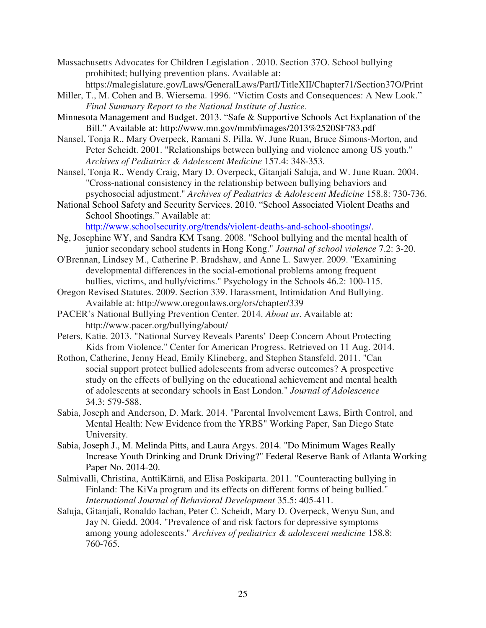- Massachusetts Advocates for Children Legislation . 2010. Section 37O. School bullying prohibited; bullying prevention plans. Available at: https://malegislature.gov/Laws/GeneralLaws/PartI/TitleXII/Chapter71/Section37O/Print
- Miller, T., M. Cohen and B. Wiersema. 1996. "Victim Costs and Consequences: A New Look." *Final Summary Report to the National Institute of Justice*.
- Minnesota Management and Budget. 2013. "Safe & Supportive Schools Act Explanation of the Bill." Available at: http://www.mn.gov/mmb/images/2013%2520SF783.pdf
- Nansel, Tonja R., Mary Overpeck, Ramani S. Pilla, W. June Ruan, Bruce Simons-Morton, and Peter Scheidt. 2001. "Relationships between bullying and violence among US youth." *Archives of Pediatrics & Adolescent Medicine* 157.4: 348-353.
- Nansel, Tonja R., Wendy Craig, Mary D. Overpeck, Gitanjali Saluja, and W. June Ruan. 2004. "Cross-national consistency in the relationship between bullying behaviors and psychosocial adjustment." *Archives of Pediatrics & Adolescent Medicine* 158.8: 730-736.
- National School Safety and Security Services. 2010. "School Associated Violent Deaths and School Shootings." Available at: http://www.schoolsecurity.org/trends/violent-deaths-and-school-shootings/.
- Ng, Josephine WY, and Sandra KM Tsang. 2008. "School bullying and the mental health of junior secondary school students in Hong Kong." *Journal of school violence* 7.2: 3-20.
- O'Brennan, Lindsey M., Catherine P. Bradshaw, and Anne L. Sawyer. 2009. "Examining developmental differences in the social-emotional problems among frequent bullies, victims, and bully/victims." Psychology in the Schools 46.2: 100-115.
- Oregon Revised Statutes. 2009. Section 339. Harassment, Intimidation And Bullying. Available at: http://www.oregonlaws.org/ors/chapter/339
- PACER's National Bullying Prevention Center. 2014. *About us*. Available at: http://www.pacer.org/bullying/about/
- Peters, Katie. 2013. "National Survey Reveals Parents' Deep Concern About Protecting Kids from Violence." Center for American Progress. Retrieved on 11 Aug. 2014.
- Rothon, Catherine, Jenny Head, Emily Klineberg, and Stephen Stansfeld. 2011. "Can social support protect bullied adolescents from adverse outcomes? A prospective study on the effects of bullying on the educational achievement and mental health of adolescents at secondary schools in East London." *Journal of Adolescence* 34.3: 579-588.
- Sabia, Joseph and Anderson, D. Mark. 2014. "Parental Involvement Laws, Birth Control, and Mental Health: New Evidence from the YRBS" Working Paper, San Diego State University.
- Sabia, Joseph J., M. Melinda Pitts, and Laura Argys. 2014. "Do Minimum Wages Really Increase Youth Drinking and Drunk Driving?" Federal Reserve Bank of Atlanta Working Paper No. 2014-20.
- Salmivalli, Christina, AnttiKärnä, and Elisa Poskiparta. 2011. "Counteracting bullying in Finland: The KiVa program and its effects on different forms of being bullied." *International Journal of Behavioral Development* 35.5: 405-411.
- Saluja, Gitanjali, Ronaldo Iachan, Peter C. Scheidt, Mary D. Overpeck, Wenyu Sun, and Jay N. Giedd. 2004. "Prevalence of and risk factors for depressive symptoms among young adolescents." *Archives of pediatrics & adolescent medicine* 158.8: 760-765.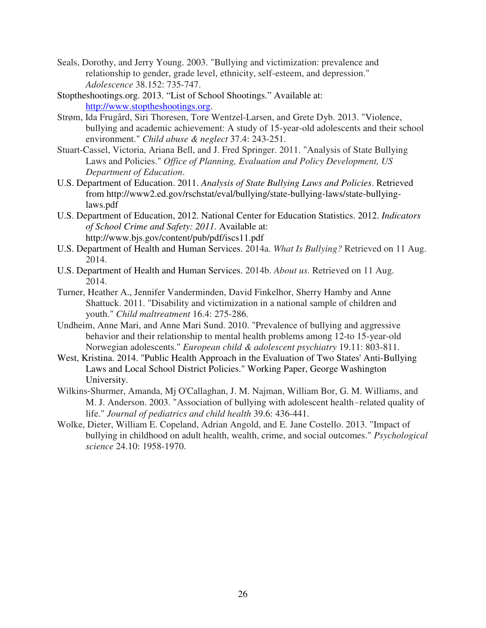- Seals, Dorothy, and Jerry Young. 2003. "Bullying and victimization: prevalence and relationship to gender, grade level, ethnicity, self-esteem, and depression." *Adolescence* 38.152: 735-747.
- Stoptheshootings.org. 2013. "List of School Shootings." Available at: http://www.stoptheshootings.org.
- Strøm, Ida Frugård, Siri Thoresen, Tore Wentzel-Larsen, and Grete Dyb. 2013. "Violence, bullying and academic achievement: A study of 15-year-old adolescents and their school environment." *Child abuse & neglect* 37.4: 243-251.
- Stuart-Cassel, Victoria, Ariana Bell, and J. Fred Springer. 2011. "Analysis of State Bullying Laws and Policies." *Office of Planning, Evaluation and Policy Development, US Department of Education*.
- U.S. Department of Education. 2011. *Analysis of State Bullying Laws and Policies*. Retrieved from http://www2.ed.gov/rschstat/eval/bullying/state-bullying-laws/state-bullyinglaws.pdf
- U.S. Department of Education, 2012. National Center for Education Statistics. 2012. *Indicators of School Crime and Safety: 2011.* Available at: http://www.bjs.gov/content/pub/pdf/iscs11.pdf
- U.S. Department of Health and Human Services. 2014a. *What Is Bullying?* Retrieved on 11 Aug. 2014.
- U.S. Department of Health and Human Services. 2014b. *About us.* Retrieved on 11 Aug. 2014.
- Turner, Heather A., Jennifer Vanderminden, David Finkelhor, Sherry Hamby and Anne Shattuck. 2011. "Disability and victimization in a national sample of children and youth." *Child maltreatment* 16.4: 275-286.
- Undheim, Anne Mari, and Anne Mari Sund. 2010. "Prevalence of bullying and aggressive behavior and their relationship to mental health problems among 12-to 15-year-old Norwegian adolescents." *European child & adolescent psychiatry* 19.11: 803-811.
- West, Kristina. 2014. "Public Health Approach in the Evaluation of Two States' Anti-Bullying Laws and Local School District Policies." Working Paper, George Washington University.
- Wilkins‐Shurmer, Amanda, Mj O'Callaghan, J. M. Najman, William Bor, G. M. Williams, and M. J. Anderson. 2003. "Association of bullying with adolescent health-related quality of life." *Journal of pediatrics and child health* 39.6: 436-441.
- Wolke, Dieter, William E. Copeland, Adrian Angold, and E. Jane Costello. 2013. "Impact of bullying in childhood on adult health, wealth, crime, and social outcomes." *Psychological science* 24.10: 1958-1970.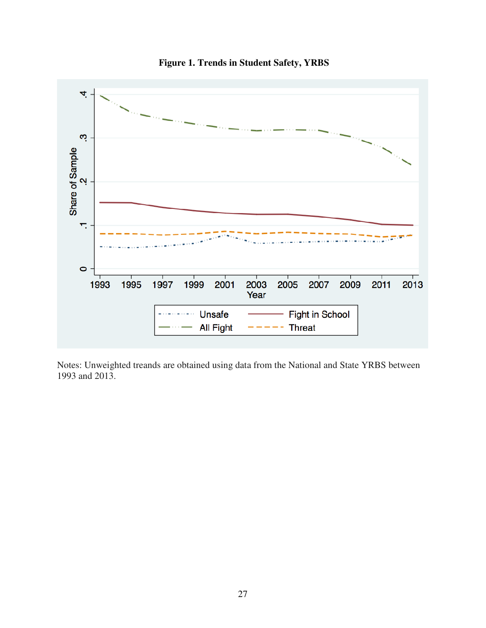

**Figure 1. Trends in Student Safety, YRBS** 

Notes: Unweighted treands are obtained using data from the National and State YRBS between 1993 and 2013.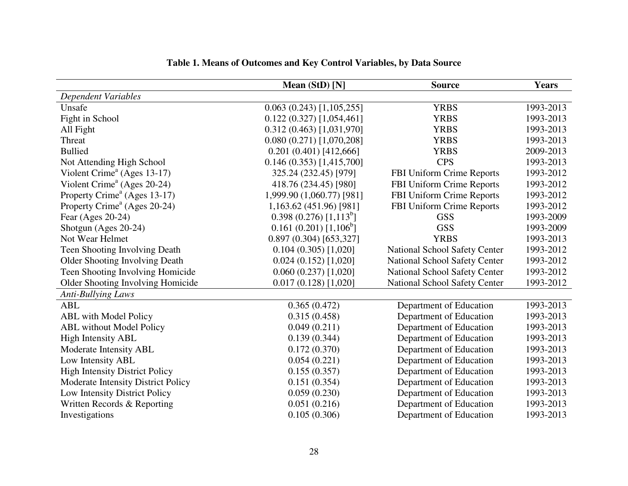|                                          | Mean (StD) [N]                    | <b>Source</b>                 | <b>Years</b> |
|------------------------------------------|-----------------------------------|-------------------------------|--------------|
| Dependent Variables                      |                                   |                               |              |
| Unsafe                                   | 0.063(0.243)[1,105,255]           | <b>YRBS</b>                   | 1993-2013    |
| Fight in School                          | $0.122(0.327)$ [1,054,461]        | <b>YRBS</b>                   | 1993-2013    |
| All Fight                                | 0.312(0.463)[1,031,970]           | <b>YRBS</b>                   | 1993-2013    |
| Threat                                   | 0.080(0.271)[1,070,208]           | <b>YRBS</b>                   | 1993-2013    |
| <b>Bullied</b>                           | 0.201(0.401)[412,666]             | <b>YRBS</b>                   | 2009-2013    |
| Not Attending High School                | 0.146(0.353)[1,415,700]           | <b>CPS</b>                    | 1993-2013    |
| Violent Crime <sup>a</sup> (Ages 13-17)  | 325.24 (232.45) [979]             | FBI Uniform Crime Reports     | 1993-2012    |
| Violent Crime <sup>a</sup> (Ages 20-24)  | 418.76 (234.45) [980]             | FBI Uniform Crime Reports     | 1993-2012    |
| Property Crime <sup>a</sup> (Ages 13-17) | 1,999.90 (1,060.77) [981]         | FBI Uniform Crime Reports     | 1993-2012    |
| Property Crime <sup>a</sup> (Ages 20-24) | 1,163.62 (451.96) [981]           | FBI Uniform Crime Reports     | 1993-2012    |
| Fear (Ages 20-24)                        | 0.398(0.276)[1,113 <sup>b</sup> ] | <b>GSS</b>                    | 1993-2009    |
| Shotgun (Ages 20-24)                     | $0.161(0.201)[1,106^b]$           | <b>GSS</b>                    | 1993-2009    |
| Not Wear Helmet                          | 0.897(0.304)[653,327]             | <b>YRBS</b>                   | 1993-2013    |
| Teen Shooting Involving Death            | 0.104(0.305)[1,020]               | National School Safety Center | 1993-2012    |
| <b>Older Shooting Involving Death</b>    | 0.024(0.152)[1,020]               | National School Safety Center | 1993-2012    |
| Teen Shooting Involving Homicide         | $0.060(0.237)$ [1,020]            | National School Safety Center | 1993-2012    |
| Older Shooting Involving Homicide        | $0.017(0.128)$ [1,020]            | National School Safety Center | 1993-2012    |
| <b>Anti-Bullying Laws</b>                |                                   |                               |              |
| <b>ABL</b>                               | 0.365(0.472)                      | Department of Education       | 1993-2013    |
| <b>ABL</b> with Model Policy             | 0.315(0.458)                      | Department of Education       | 1993-2013    |
| <b>ABL</b> without Model Policy          | 0.049(0.211)                      | Department of Education       | 1993-2013    |
| <b>High Intensity ABL</b>                | 0.139(0.344)                      | Department of Education       | 1993-2013    |
| Moderate Intensity ABL                   | 0.172(0.370)                      | Department of Education       | 1993-2013    |
| Low Intensity ABL                        | 0.054(0.221)                      | Department of Education       | 1993-2013    |
| <b>High Intensity District Policy</b>    | 0.155(0.357)                      | Department of Education       | 1993-2013    |
| Moderate Intensity District Policy       | 0.151(0.354)                      | Department of Education       | 1993-2013    |
| Low Intensity District Policy            | 0.059(0.230)                      | Department of Education       | 1993-2013    |
| Written Records & Reporting              | 0.051(0.216)                      | Department of Education       | 1993-2013    |
| Investigations                           | 0.105(0.306)                      | Department of Education       | 1993-2013    |
|                                          |                                   |                               |              |

#### **Table 1. Means of Outcomes and Key Control Variables, by Data Source**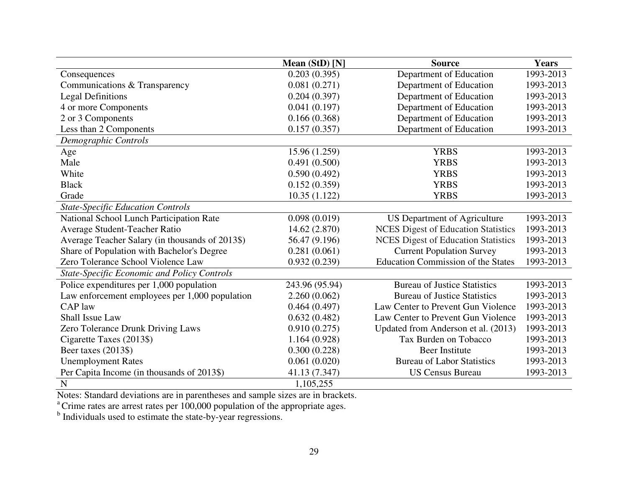|                                                    | Mean (StD) [N] | <b>Source</b>                              | Years     |
|----------------------------------------------------|----------------|--------------------------------------------|-----------|
| Consequences                                       | 0.203(0.395)   | Department of Education                    | 1993-2013 |
| Communications & Transparency                      | 0.081(0.271)   | Department of Education                    | 1993-2013 |
| <b>Legal Definitions</b>                           | 0.204(0.397)   | Department of Education                    | 1993-2013 |
| 4 or more Components                               | 0.041(0.197)   | Department of Education                    | 1993-2013 |
| 2 or 3 Components                                  | 0.166(0.368)   | Department of Education                    | 1993-2013 |
| Less than 2 Components                             | 0.157(0.357)   | Department of Education                    | 1993-2013 |
| Demographic Controls                               |                |                                            |           |
| Age                                                | 15.96 (1.259)  | <b>YRBS</b>                                | 1993-2013 |
| Male                                               | 0.491(0.500)   | <b>YRBS</b>                                | 1993-2013 |
| White                                              | 0.590(0.492)   | <b>YRBS</b>                                | 1993-2013 |
| <b>Black</b>                                       | 0.152(0.359)   | <b>YRBS</b>                                | 1993-2013 |
| Grade                                              | 10.35(1.122)   | <b>YRBS</b>                                | 1993-2013 |
| <b>State-Specific Education Controls</b>           |                |                                            |           |
| National School Lunch Participation Rate           | 0.098(0.019)   | US Department of Agriculture               | 1993-2013 |
| Average Student-Teacher Ratio                      | 14.62 (2.870)  | <b>NCES</b> Digest of Education Statistics | 1993-2013 |
| Average Teacher Salary (in thousands of 2013\$)    | 56.47 (9.196)  | <b>NCES</b> Digest of Education Statistics | 1993-2013 |
| Share of Population with Bachelor's Degree         | 0.281(0.061)   | <b>Current Population Survey</b>           | 1993-2013 |
| Zero Tolerance School Violence Law                 | 0.932(0.239)   | <b>Education Commission of the States</b>  | 1993-2013 |
| <b>State-Specific Economic and Policy Controls</b> |                |                                            |           |
| Police expenditures per 1,000 population           | 243.96 (95.94) | <b>Bureau of Justice Statistics</b>        | 1993-2013 |
| Law enforcement employees per 1,000 population     | 2.260(0.062)   | <b>Bureau of Justice Statistics</b>        | 1993-2013 |
| <b>CAP</b> law                                     | 0.464(0.497)   | Law Center to Prevent Gun Violence         | 1993-2013 |
| <b>Shall Issue Law</b>                             | 0.632(0.482)   | Law Center to Prevent Gun Violence         | 1993-2013 |
| Zero Tolerance Drunk Driving Laws                  | 0.910(0.275)   | Updated from Anderson et al. (2013)        | 1993-2013 |
| Cigarette Taxes (2013\$)                           | 1.164(0.928)   | Tax Burden on Tobacco                      | 1993-2013 |
| Beer taxes (2013\$)                                | 0.300(0.228)   | <b>Beer Institute</b>                      | 1993-2013 |
| <b>Unemployment Rates</b>                          | 0.061(0.020)   | <b>Bureau of Labor Statistics</b>          | 1993-2013 |
| Per Capita Income (in thousands of 2013\$)         | 41.13 (7.347)  | <b>US Census Bureau</b>                    | 1993-2013 |
| $\mathbf N$                                        | 1,105,255      |                                            |           |

N<br>
Notes: Standard deviations are in parentheses and sample sizes are in brackets.<br>
<sup>a</sup> Crime rates are arrest rates per 100,000 population of the appropriate ages.<br>
<sup>b</sup> Individuals used to estimate the state-by-year regr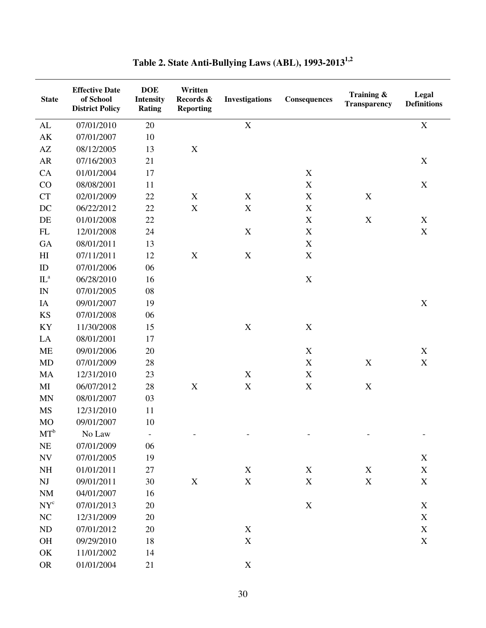| <b>State</b>               | <b>Effective Date</b><br>of School<br><b>District Policy</b> | <b>DOE</b><br><b>Intensity</b><br><b>Rating</b> | Written<br>Records &<br><b>Reporting</b> | <b>Investigations</b> | Consequences              | Training &<br><b>Transparency</b> | Legal<br><b>Definitions</b> |
|----------------------------|--------------------------------------------------------------|-------------------------------------------------|------------------------------------------|-----------------------|---------------------------|-----------------------------------|-----------------------------|
| ${\rm AL}$                 | 07/01/2010                                                   | 20                                              |                                          | $\mathbf X$           |                           |                                   | $\mathbf X$                 |
| AK                         | 07/01/2007                                                   | 10                                              |                                          |                       |                           |                                   |                             |
| $\mathbf{A}\mathbf{Z}$     | 08/12/2005                                                   | 13                                              | $\mathbf X$                              |                       |                           |                                   |                             |
| AR                         | 07/16/2003                                                   | 21                                              |                                          |                       |                           |                                   | $\mathbf X$                 |
| CA                         | 01/01/2004                                                   | 17                                              |                                          |                       | $\boldsymbol{\mathrm{X}}$ |                                   |                             |
| CO                         | 08/08/2001                                                   | 11                                              |                                          |                       | $\mathbf X$               |                                   | $\mathbf X$                 |
| CT                         | 02/01/2009                                                   | 22                                              | $\mathbf X$                              | $\mathbf X$           | $\mathbf X$               | $\mathbf X$                       |                             |
| DC                         | 06/22/2012                                                   | 22                                              | $\mathbf X$                              | $\mathbf X$           | $\boldsymbol{\mathrm{X}}$ |                                   |                             |
| DE                         | 01/01/2008                                                   | 22                                              |                                          |                       | $\mathbf X$               | $\mathbf X$                       | $\mathbf X$                 |
| ${\rm FL}$                 | 12/01/2008                                                   | 24                                              |                                          | $\mathbf X$           | $\boldsymbol{\mathrm{X}}$ |                                   | $\mathbf X$                 |
| <b>GA</b>                  | 08/01/2011                                                   | 13                                              |                                          |                       | $\mathbf X$               |                                   |                             |
| $\mathop{\rm HI}\nolimits$ | 07/11/2011                                                   | 12                                              | $\mathbf X$                              | $\mathbf X$           | $\boldsymbol{\mathrm{X}}$ |                                   |                             |
| ID                         | 07/01/2006                                                   | 06                                              |                                          |                       |                           |                                   |                             |
| $IL^a$                     | 06/28/2010                                                   | 16                                              |                                          |                       | $\mathbf X$               |                                   |                             |
| IN                         | 07/01/2005                                                   | 08                                              |                                          |                       |                           |                                   |                             |
| IA                         | 09/01/2007                                                   | 19                                              |                                          |                       |                           |                                   | $\mathbf X$                 |
| <b>KS</b>                  | 07/01/2008                                                   | 06                                              |                                          |                       |                           |                                   |                             |
| KY                         | 11/30/2008                                                   | 15                                              |                                          | $\mathbf X$           | $\boldsymbol{\mathrm{X}}$ |                                   |                             |
| LA                         | 08/01/2001                                                   | 17                                              |                                          |                       |                           |                                   |                             |
| <b>ME</b>                  | 09/01/2006                                                   | 20                                              |                                          |                       | $\boldsymbol{\mathrm{X}}$ |                                   | $\mathbf X$                 |
| <b>MD</b>                  | 07/01/2009                                                   | 28                                              |                                          |                       | $\mathbf X$               | $\mathbf X$                       | $\mathbf X$                 |
| MA                         | 12/31/2010                                                   | 23                                              |                                          | $\mathbf X$           | $\mathbf X$               |                                   |                             |
| MI                         | 06/07/2012                                                   | 28                                              | $\mathbf X$                              | $\mathbf X$           | $\mathbf X$               | $\mathbf X$                       |                             |
| <b>MN</b>                  | 08/01/2007                                                   | 03                                              |                                          |                       |                           |                                   |                             |
| <b>MS</b>                  | 12/31/2010                                                   | 11                                              |                                          |                       |                           |                                   |                             |
| <b>MO</b>                  | 09/01/2007                                                   | 10                                              |                                          |                       |                           |                                   |                             |
| $MT^b$                     | No Law                                                       | $\overline{\phantom{a}}$                        |                                          |                       |                           |                                   |                             |
| NE                         | 07/01/2009                                                   | 06                                              |                                          |                       |                           |                                   |                             |
| $\ensuremath{\text{NV}}$   | 07/01/2005                                                   | 19                                              |                                          |                       |                           |                                   | $\mathbf X$                 |
| NH                         | 01/01/2011                                                   | 27                                              |                                          | $\mathbf X$           | $\mathbf X$               | $\mathbf X$                       | $\mathbf X$                 |
| $\mathbf{N}\mathbf{J}$     | 09/01/2011                                                   | 30                                              | $\mathbf X$                              | $\mathbf X$           | $\mathbf X$               | $\mathbf X$                       | $\mathbf X$                 |
| $\rm{NM}$                  | 04/01/2007                                                   | 16                                              |                                          |                       |                           |                                   |                             |
| $NY^c$                     | 07/01/2013                                                   | 20                                              |                                          |                       | $\mathbf X$               |                                   | X                           |
| NC                         | 12/31/2009                                                   | 20                                              |                                          |                       |                           |                                   | $\mathbf X$                 |
| ND                         | 07/01/2012                                                   | 20                                              |                                          | $\mathbf X$           |                           |                                   | $\mathbf X$                 |
| OH                         | 09/29/2010                                                   | 18                                              |                                          | $\mathbf X$           |                           |                                   | $\mathbf X$                 |
| OK                         | 11/01/2002                                                   | 14                                              |                                          |                       |                           |                                   |                             |
| <b>OR</b>                  | 01/01/2004                                                   | 21                                              |                                          | $\mathbf X$           |                           |                                   |                             |

**Table 2. State Anti-Bullying Laws (ABL), 1993-20131,2**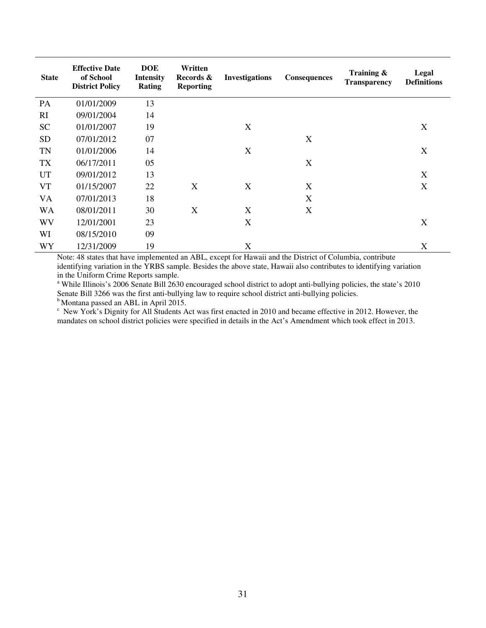| <b>State</b> | <b>Effective Date</b><br>of School<br><b>District Policy</b> | <b>DOE</b><br><b>Intensity</b><br><b>Rating</b> | Written<br>Records &<br><b>Reporting</b> | <b>Investigations</b> | Consequences     | Training $\&$<br><b>Transparency</b> | Legal<br><b>Definitions</b> |
|--------------|--------------------------------------------------------------|-------------------------------------------------|------------------------------------------|-----------------------|------------------|--------------------------------------|-----------------------------|
| PA           | 01/01/2009                                                   | 13                                              |                                          |                       |                  |                                      |                             |
| RI           | 09/01/2004                                                   | 14                                              |                                          |                       |                  |                                      |                             |
| <b>SC</b>    | 01/01/2007                                                   | 19                                              |                                          | X                     |                  |                                      | X                           |
| <b>SD</b>    | 07/01/2012                                                   | 07                                              |                                          |                       | X                |                                      |                             |
| <b>TN</b>    | 01/01/2006                                                   | 14                                              |                                          | X                     |                  |                                      | $\boldsymbol{X}$            |
| <b>TX</b>    | 06/17/2011                                                   | 05                                              |                                          |                       | X                |                                      |                             |
| UT           | 09/01/2012                                                   | 13                                              |                                          |                       |                  |                                      | X                           |
| <b>VT</b>    | 01/15/2007                                                   | 22                                              | X                                        | X                     | $\boldsymbol{X}$ |                                      | X                           |
| <b>VA</b>    | 07/01/2013                                                   | 18                                              |                                          |                       | $\boldsymbol{X}$ |                                      |                             |
| <b>WA</b>    | 08/01/2011                                                   | 30                                              | X                                        | X                     | X                |                                      |                             |
| WV           | 12/01/2001                                                   | 23                                              |                                          | X                     |                  |                                      | X                           |
| WI           | 08/15/2010                                                   | 09                                              |                                          |                       |                  |                                      |                             |
| WY           | 12/31/2009                                                   | 19                                              |                                          | X                     |                  |                                      | X                           |

Note: 48 states that have implemented an ABL, except for Hawaii and the District of Columbia, contribute identifying variation in the YRBS sample. Besides the above state, Hawaii also contributes to identifying variation in the Uniform Crime Reports sample.

<sup>a</sup> While Illinois's 2006 Senate Bill 2630 encouraged school district to adopt anti-bullying policies, the state's 2010 Senate Bill 3266 was the first anti-bullying law to require school district anti-bullying policies.

<sup>b</sup> Montana passed an ABL in April 2015.

c New York's Dignity for All Students Act was first enacted in 2010 and became effective in 2012. However, the mandates on school district policies were specified in details in the Act's Amendment which took effect in 2013.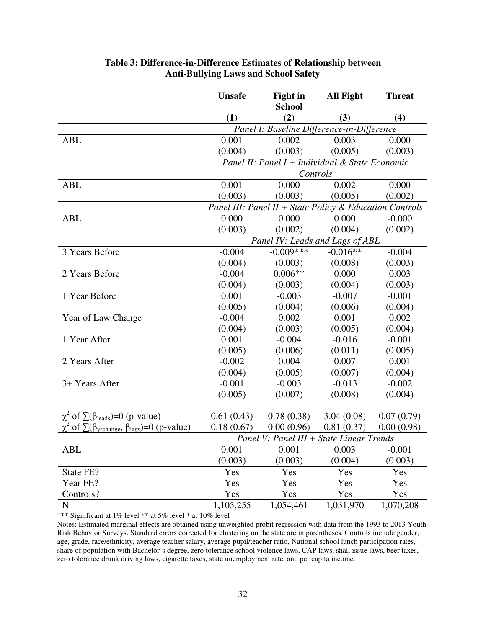|                                                                     | <b>Unsafe</b>                   | <b>Fight in</b>                                         | <b>All Fight</b> | <b>Threat</b> |  |
|---------------------------------------------------------------------|---------------------------------|---------------------------------------------------------|------------------|---------------|--|
|                                                                     |                                 | <b>School</b>                                           |                  |               |  |
|                                                                     | (1)                             | (2)                                                     | (3)              | (4)           |  |
|                                                                     |                                 | Panel I: Baseline Difference-in-Difference              |                  |               |  |
| <b>ABL</b>                                                          | 0.001                           | 0.002                                                   | 0.003            | 0.000         |  |
|                                                                     | (0.004)                         | (0.003)                                                 | (0.005)          | (0.003)       |  |
|                                                                     |                                 | Panel II: Panel I + Individual & State Economic         |                  |               |  |
|                                                                     |                                 | Controls                                                |                  |               |  |
| <b>ABL</b>                                                          | 0.001                           | 0.000                                                   | 0.002            | 0.000         |  |
|                                                                     | (0.003)                         | (0.003)                                                 | (0.005)          | (0.002)       |  |
|                                                                     |                                 | Panel III: Panel II + State Policy & Education Controls |                  |               |  |
| <b>ABL</b>                                                          | 0.000                           | 0.000                                                   | 0.000            | $-0.000$      |  |
|                                                                     | (0.003)                         | (0.002)                                                 | (0.004)          | (0.002)       |  |
|                                                                     | Panel IV: Leads and Lags of ABL |                                                         |                  |               |  |
| 3 Years Before                                                      | $-0.004$                        | $-0.009***$                                             | $-0.016**$       | $-0.004$      |  |
|                                                                     | (0.004)                         | (0.003)                                                 | (0.008)          | (0.003)       |  |
| 2 Years Before                                                      | $-0.004$                        | $0.006**$                                               | 0.000            | 0.003         |  |
|                                                                     | (0.004)                         | (0.003)                                                 | (0.004)          | (0.003)       |  |
| 1 Year Before                                                       | 0.001                           | $-0.003$                                                | $-0.007$         | $-0.001$      |  |
|                                                                     | (0.005)                         | (0.004)                                                 | (0.006)          | (0.004)       |  |
| Year of Law Change                                                  | $-0.004$                        | 0.002                                                   | 0.001            | 0.002         |  |
|                                                                     | (0.004)                         | (0.003)                                                 | (0.005)          | (0.004)       |  |
| 1 Year After                                                        | 0.001                           | $-0.004$                                                | $-0.016$         | $-0.001$      |  |
|                                                                     | (0.005)                         | (0.006)                                                 | (0.011)          | (0.005)       |  |
| 2 Years After                                                       | $-0.002$                        | 0.004                                                   | 0.007            | 0.001         |  |
|                                                                     | (0.004)                         | (0.005)                                                 | (0.007)          | (0.004)       |  |
| 3+ Years After                                                      | $-0.001$                        | $-0.003$                                                | $-0.013$         | $-0.002$      |  |
|                                                                     | (0.005)                         | (0.007)                                                 | (0.008)          | (0.004)       |  |
|                                                                     |                                 |                                                         |                  |               |  |
| $\chi^2$ of $\Sigma(\beta_{\text{leads}})=0$ (p-value)              | 0.61(0.43)                      | 0.78(0.38)                                              | 3.04(0.08)       | 0.07(0.79)    |  |
| of $\sum(\beta_{\text{yrchange}}, \beta_{\text{lags}})=0$ (p-value) | 0.18(0.67)                      | 0.00(0.96)                                              | 0.81(0.37)       | 0.00(0.98)    |  |
|                                                                     |                                 | Panel V: Panel III + State Linear Trends                |                  |               |  |
| <b>ABL</b>                                                          | 0.001                           | 0.001                                                   | 0.003            | $-0.001$      |  |
|                                                                     | (0.003)                         | (0.003)                                                 | (0.004)          | (0.003)       |  |
| State FE?                                                           | Yes                             | Yes                                                     | Yes              | Yes           |  |
| Year FE?                                                            | Yes                             | Yes                                                     | Yes              | Yes           |  |
| Controls?                                                           | Yes                             | Yes                                                     | Yes              | Yes           |  |
| $\mathbf N$                                                         | 1,105,255                       | 1,054,461                                               | 1,031,970        | 1,070,208     |  |

### **Table 3: Difference-in-Difference Estimates of Relationship between Anti-Bullying Laws and School Safety**

\*\*\* Significant at 1% level \*\* at 5% level \* at 10% level

Notes: Estimated marginal effects are obtained using unweighted probit regression with data from the 1993 to 2013 Youth Risk Behavior Surveys. Standard errors corrected for clustering on the state are in parentheses. Controls include gender, age, grade, race/ethnicity, average teacher salary, average pupil/teacher ratio, National school lunch participation rates, share of population with Bachelor's degree, zero tolerance school violence laws, CAP laws, shall issue laws, beer taxes, zero tolerance drunk driving laws, cigarette taxes, state unemployment rate, and per capita income.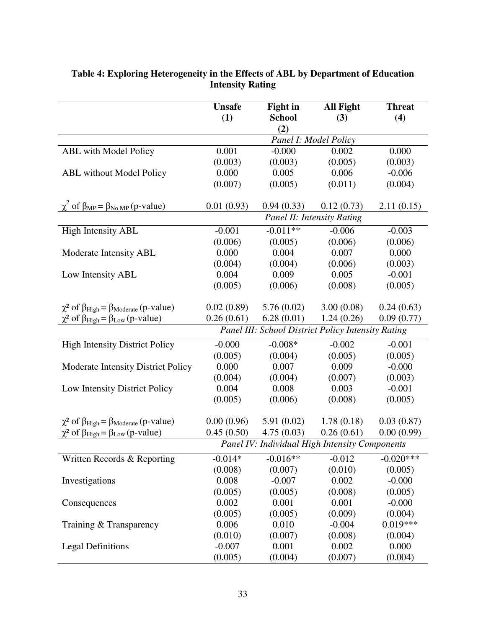|                                                                  | <b>Unsafe</b> | <b>Fight in</b> | <b>All Fight</b>                                   | <b>Threat</b> |
|------------------------------------------------------------------|---------------|-----------------|----------------------------------------------------|---------------|
|                                                                  | (1)           | <b>School</b>   | (3)                                                | (4)           |
|                                                                  |               | (2)             | Panel I: Model Policy                              |               |
| <b>ABL</b> with Model Policy                                     | 0.001         | $-0.000$        | 0.002                                              | 0.000         |
|                                                                  | (0.003)       | (0.003)         | (0.005)                                            | (0.003)       |
| <b>ABL</b> without Model Policy                                  | 0.000         | 0.005           | 0.006                                              | $-0.006$      |
|                                                                  | (0.007)       | (0.005)         | (0.011)                                            | (0.004)       |
|                                                                  |               |                 |                                                    |               |
| $\chi^2$ of $\beta_{MP} = \beta_{No MP}$ (p-value)               | 0.01(0.93)    | 0.94(0.33)      | 0.12(0.73)                                         | 2.11(0.15)    |
|                                                                  |               |                 | Panel II: Intensity Rating                         |               |
| <b>High Intensity ABL</b>                                        | $-0.001$      | $-0.011**$      | $-0.006$                                           | $-0.003$      |
|                                                                  | (0.006)       | (0.005)         | (0.006)                                            | (0.006)       |
| Moderate Intensity ABL                                           | 0.000         | 0.004           | 0.007                                              | 0.000         |
|                                                                  | (0.004)       | (0.004)         | (0.006)                                            | (0.003)       |
| Low Intensity ABL                                                | 0.004         | 0.009           | 0.005                                              | $-0.001$      |
|                                                                  | (0.005)       | (0.006)         | (0.008)                                            | (0.005)       |
|                                                                  |               |                 |                                                    |               |
| $\chi^2$ of $\beta_{High} = \beta_{Modelate}$ (p-value)          | 0.02(0.89)    | 5.76(0.02)      | 3.00(0.08)                                         | 0.24(0.63)    |
| $\chi^2$ of $\beta_{\text{High}} = \beta_{\text{Low}}$ (p-value) | 0.26(0.61)    | 6.28(0.01)      | 1.24(0.26)                                         | 0.09(0.77)    |
|                                                                  |               |                 | Panel III: School District Policy Intensity Rating |               |
| <b>High Intensity District Policy</b>                            | $-0.000$      | $-0.008*$       | $-0.002$                                           | $-0.001$      |
|                                                                  | (0.005)       | (0.004)         | (0.005)                                            | (0.005)       |
| Moderate Intensity District Policy                               | 0.000         | 0.007           | 0.009                                              | $-0.000$      |
|                                                                  | (0.004)       | (0.004)         | (0.007)                                            | (0.003)       |
| Low Intensity District Policy                                    | 0.004         | 0.008           | 0.003                                              | $-0.001$      |
|                                                                  | (0.005)       | (0.006)         | (0.008)                                            | (0.005)       |
|                                                                  |               |                 |                                                    |               |
| $\chi^2$ of $\beta_{High} = \beta_{Model}$ (p-value)             | 0.00(0.96)    | 5.91(0.02)      | 1.78(0.18)                                         | 0.03(0.87)    |
| $\chi^2$ of $\beta_{\text{High}} = \beta_{\text{Low}}$ (p-value) | 0.45(0.50)    | 4.75(0.03)      | 0.26(0.61)                                         | 0.00(0.99)    |
|                                                                  |               |                 | Panel IV: Individual High Intensity Components     |               |
| Written Records & Reporting                                      | $-0.014*$     | $-0.016**$      | $-0.012$                                           | $-0.020***$   |
|                                                                  | (0.008)       | (0.007)         | (0.010)                                            | (0.005)       |
| Investigations                                                   | 0.008         | $-0.007$        | 0.002                                              | $-0.000$      |
|                                                                  | (0.005)       | (0.005)         | (0.008)                                            | (0.005)       |
| Consequences                                                     | 0.002         | 0.001           | 0.001                                              | $-0.000$      |
|                                                                  | (0.005)       | (0.005)         | (0.009)                                            | (0.004)       |
| Training & Transparency                                          | 0.006         | 0.010           | $-0.004$                                           | $0.019***$    |
|                                                                  | (0.010)       | (0.007)         | (0.008)                                            | (0.004)       |
| <b>Legal Definitions</b>                                         | $-0.007$      | 0.001           | 0.002                                              | 0.000         |
|                                                                  | (0.005)       | (0.004)         | (0.007)                                            | (0.004)       |

### **Table 4: Exploring Heterogeneity in the Effects of ABL by Department of Education Intensity Rating**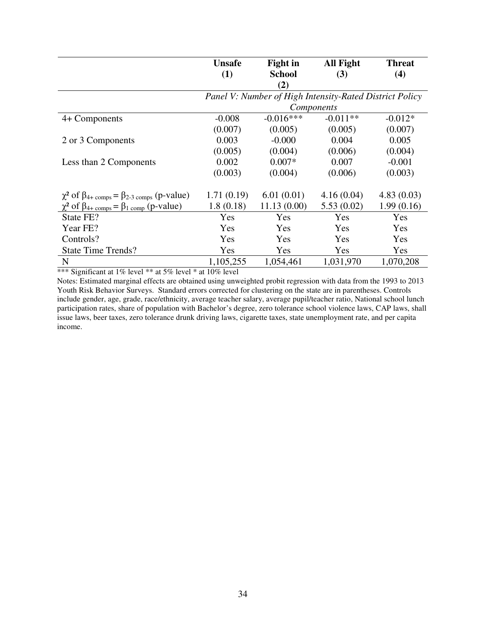|                                                                            | <b>Unsafe</b>                                           | <b>Fight in</b> | <b>All Fight</b> | <b>Threat</b> |  |  |
|----------------------------------------------------------------------------|---------------------------------------------------------|-----------------|------------------|---------------|--|--|
|                                                                            | (1)                                                     | <b>School</b>   | (3)              | (4)           |  |  |
|                                                                            |                                                         | (2)             |                  |               |  |  |
|                                                                            | Panel V: Number of High Intensity-Rated District Policy |                 |                  |               |  |  |
|                                                                            |                                                         | Components      |                  |               |  |  |
| 4+ Components                                                              | $-0.008$                                                | $-0.016***$     | $-0.011**$       | $-0.012*$     |  |  |
|                                                                            | (0.007)                                                 | (0.005)         | (0.005)          | (0.007)       |  |  |
| 2 or 3 Components                                                          | 0.003                                                   | $-0.000$        | 0.004            | 0.005         |  |  |
|                                                                            | (0.005)                                                 | (0.004)         | (0.006)          | (0.004)       |  |  |
| Less than 2 Components                                                     | 0.002                                                   | $0.007*$        | 0.007            | $-0.001$      |  |  |
|                                                                            | (0.003)                                                 | (0.004)         | (0.006)          | (0.003)       |  |  |
| $\chi^2$ of $\beta_{4+\text{comps}} = \beta_{2-3 \text{ comps}}$ (p-value) | 1.71(0.19)                                              | 6.01(0.01)      | 4.16(0.04)       | 4.83(0.03)    |  |  |
| $\chi^2$ of $\beta_{4+ \text{comps}} = \beta_{1 \text{ comp}}$ (p-value)   | 1.8(0.18)                                               | 11.13(0.00)     | 5.53(0.02)       | 1.99(0.16)    |  |  |
| State FE?                                                                  | Yes                                                     | Yes             | Yes              | Yes           |  |  |
| Year FE?                                                                   | Yes                                                     | Yes             | <b>Yes</b>       | Yes           |  |  |
| Controls?                                                                  | Yes                                                     | Yes             | Yes              | Yes           |  |  |
| <b>State Time Trends?</b>                                                  | Yes.                                                    | Yes             | <b>Yes</b>       | Yes           |  |  |
| N                                                                          | 1,105,255                                               | 1,054,461       | 1,031,970        | 1,070,208     |  |  |

\*\*\* Significant at 1% level \*\* at 5% level \* at 10% level

Notes: Estimated marginal effects are obtained using unweighted probit regression with data from the 1993 to 2013 Youth Risk Behavior Surveys. Standard errors corrected for clustering on the state are in parentheses. Controls include gender, age, grade, race/ethnicity, average teacher salary, average pupil/teacher ratio, National school lunch participation rates, share of population with Bachelor's degree, zero tolerance school violence laws, CAP laws, shall issue laws, beer taxes, zero tolerance drunk driving laws, cigarette taxes, state unemployment rate, and per capita income.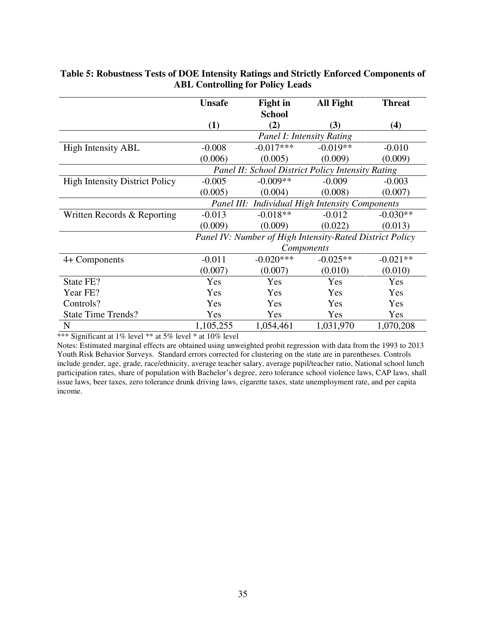|                                       | <b>Unsafe</b> | <b>Fight in</b> | All Fight                                                | <b>Threat</b> |
|---------------------------------------|---------------|-----------------|----------------------------------------------------------|---------------|
|                                       |               | <b>School</b>   |                                                          |               |
|                                       | (1)           | (2)             | (3)                                                      | (4)           |
|                                       |               |                 | <b>Panel I: Intensity Rating</b>                         |               |
| <b>High Intensity ABL</b>             | $-0.008$      | $-0.017***$     | $-0.019**$                                               | $-0.010$      |
|                                       | (0.006)       | (0.005)         | (0.009)                                                  | (0.009)       |
|                                       |               |                 | Panel II: School District Policy Intensity Rating        |               |
| <b>High Intensity District Policy</b> | $-0.005$      | $-0.009**$      | $-0.009$                                                 | $-0.003$      |
|                                       | (0.005)       | (0.004)         | (0.008)                                                  | (0.007)       |
|                                       |               |                 | Panel III: Individual High Intensity Components          |               |
| Written Records & Reporting           | $-0.013$      | $-0.018**$      | $-0.012$                                                 | $-0.030**$    |
|                                       | (0.009)       | (0.009)         | (0.022)                                                  | (0.013)       |
|                                       |               |                 | Panel IV: Number of High Intensity-Rated District Policy |               |
|                                       |               |                 | Components                                               |               |
| 4+ Components                         | $-0.011$      | $-0.020***$     | $-0.025**$                                               | $-0.021**$    |
|                                       | (0.007)       | (0.007)         | (0.010)                                                  | (0.010)       |
| State FE?                             | Yes           | Yes             | Yes                                                      | Yes           |
| Year FE?                              | Yes           | Yes             | Yes                                                      | Yes           |
| Controls?                             | Yes           | Yes             | Yes                                                      | Yes           |
| <b>State Time Trends?</b>             | Yes           | Yes             | Yes                                                      | Yes           |
| N                                     | 1,105,255     | 1,054,461       | 1,031,970                                                | 1,070,208     |

#### **Table 5: Robustness Tests of DOE Intensity Ratings and Strictly Enforced Components of ABL Controlling for Policy Leads**

\*\*\* Significant at 1% level \*\* at 5% level \* at 10% level

Notes: Estimated marginal effects are obtained using unweighted probit regression with data from the 1993 to 2013 Youth Risk Behavior Surveys. Standard errors corrected for clustering on the state are in parentheses. Controls include gender, age, grade, race/ethnicity, average teacher salary, average pupil/teacher ratio, National school lunch participation rates, share of population with Bachelor's degree, zero tolerance school violence laws, CAP laws, shall issue laws, beer taxes, zero tolerance drunk driving laws, cigarette taxes, state unemployment rate, and per capita income.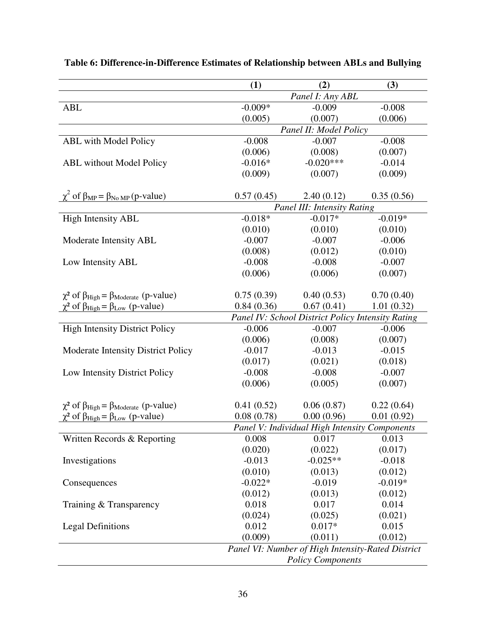|                                                                  | (1)                      | (2)                                               | (3)        |  |
|------------------------------------------------------------------|--------------------------|---------------------------------------------------|------------|--|
|                                                                  |                          | Panel I: Any ABL                                  |            |  |
| <b>ABL</b>                                                       | $-0.009*$                | $-0.009$                                          | $-0.008$   |  |
|                                                                  | (0.005)                  | (0.007)                                           | (0.006)    |  |
|                                                                  |                          | Panel II: Model Policy                            |            |  |
| <b>ABL</b> with Model Policy                                     | $-0.008$                 | $-0.007$                                          | $-0.008$   |  |
|                                                                  | (0.006)                  | (0.008)                                           | (0.007)    |  |
| <b>ABL</b> without Model Policy                                  | $-0.016*$                | $-0.020***$                                       | $-0.014$   |  |
|                                                                  | (0.009)                  | (0.007)                                           | (0.009)    |  |
|                                                                  |                          |                                                   |            |  |
| $\chi^2$ of $\beta_{MP} = \beta_{No MP}$ (p-value)               | 0.57(0.45)               | 2.40(0.12)                                        | 0.35(0.56) |  |
|                                                                  |                          | Panel III: Intensity Rating                       |            |  |
| <b>High Intensity ABL</b>                                        | $-0.018*$                | $-0.017*$                                         | $-0.019*$  |  |
|                                                                  | (0.010)                  | (0.010)                                           | (0.010)    |  |
| Moderate Intensity ABL                                           | $-0.007$                 | $-0.007$                                          | $-0.006$   |  |
|                                                                  | (0.008)                  | (0.012)                                           | (0.010)    |  |
| Low Intensity ABL                                                | $-0.008$                 | $-0.008$                                          | $-0.007$   |  |
|                                                                  | (0.006)                  | (0.006)                                           | (0.007)    |  |
|                                                                  |                          |                                                   |            |  |
| $\chi^2$ of $\beta_{High} = \beta_{Model}$ (p-value)             | 0.75(0.39)               | 0.40(0.53)                                        | 0.70(0.40) |  |
| $\chi^2$ of $\beta_{\text{High}} = \beta_{\text{Low}}$ (p-value) | 0.84(0.36)               | 0.67(0.41)                                        | 1.01(0.32) |  |
|                                                                  |                          | Panel IV: School District Policy Intensity Rating |            |  |
| <b>High Intensity District Policy</b>                            | $-0.006$                 | $-0.007$                                          | $-0.006$   |  |
|                                                                  | (0.006)                  | (0.008)                                           | (0.007)    |  |
| <b>Moderate Intensity District Policy</b>                        | $-0.017$                 | $-0.013$                                          | $-0.015$   |  |
|                                                                  | (0.017)                  | (0.021)                                           | (0.018)    |  |
| Low Intensity District Policy                                    | $-0.008$                 | $-0.008$                                          | $-0.007$   |  |
|                                                                  | (0.006)                  | (0.005)                                           | (0.007)    |  |
|                                                                  |                          |                                                   |            |  |
| $\chi^2$ of $\beta_{High} = \beta_{Model}$ (p-value)             | 0.41(0.52)               | 0.06(0.87)                                        | 0.22(0.64) |  |
| $\chi^2$ of $\beta_{\text{High}} = \beta_{\text{Low}}$ (p-value) | 0.08(0.78)               | 0.00(0.96)                                        | 0.01(0.92) |  |
|                                                                  |                          | Panel V: Individual High Intensity Components     |            |  |
| Written Records & Reporting                                      | 0.008                    | 0.017                                             | 0.013      |  |
|                                                                  | (0.020)                  | (0.022)                                           | (0.017)    |  |
| Investigations                                                   | $-0.013$                 | $-0.025**$                                        | $-0.018$   |  |
|                                                                  | (0.010)                  | (0.013)                                           | (0.012)    |  |
| Consequences                                                     | $-0.022*$                | $-0.019$                                          | $-0.019*$  |  |
|                                                                  | (0.012)                  | (0.013)                                           | (0.012)    |  |
| Training & Transparency                                          | 0.018                    | 0.017                                             | 0.014      |  |
|                                                                  | (0.024)                  | (0.025)                                           | (0.021)    |  |
| <b>Legal Definitions</b>                                         | 0.012                    | $0.017*$                                          | 0.015      |  |
|                                                                  | (0.009)                  | (0.011)                                           | (0.012)    |  |
|                                                                  |                          | Panel VI: Number of High Intensity-Rated District |            |  |
|                                                                  | <b>Policy Components</b> |                                                   |            |  |

# **Table 6: Difference-in-Difference Estimates of Relationship between ABLs and Bullying**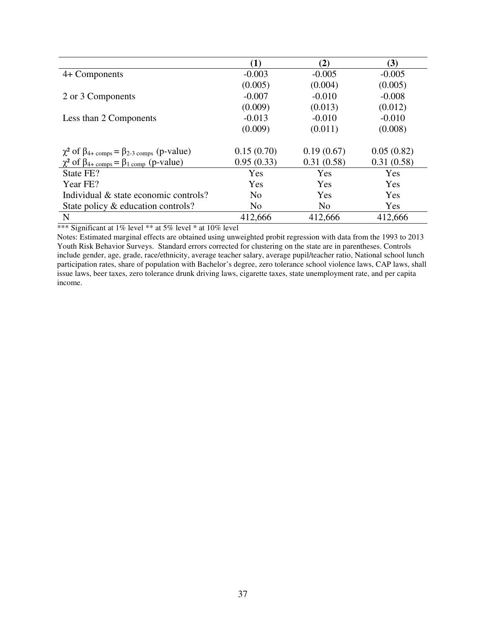|                                                                            | $\bf(1)$       | (2)            | (3)        |
|----------------------------------------------------------------------------|----------------|----------------|------------|
| 4+ Components                                                              | $-0.003$       | $-0.005$       | $-0.005$   |
|                                                                            | (0.005)        | (0.004)        | (0.005)    |
| 2 or 3 Components                                                          | $-0.007$       | $-0.010$       | $-0.008$   |
|                                                                            | (0.009)        | (0.013)        | (0.012)    |
| Less than 2 Components                                                     | $-0.013$       | $-0.010$       | $-0.010$   |
|                                                                            | (0.009)        | (0.011)        | (0.008)    |
|                                                                            |                |                |            |
| $\chi^2$ of $\beta_{4+\text{comps}} = \beta_{2-3 \text{ comps}}$ (p-value) | 0.15(0.70)     | 0.19(0.67)     | 0.05(0.82) |
| $\chi^2$ of $\beta_{4+\text{comps}} = \beta_{1 \text{ comp}}$ (p-value)    | 0.95(0.33)     | 0.31(0.58)     | 0.31(0.58) |
| State FE?                                                                  | Yes            | Yes            | Yes        |
| Year FE?                                                                   | Yes            | Yes            | Yes        |
| Individual & state economic controls?                                      | N <sub>0</sub> | Yes            | Yes        |
| State policy & education controls?                                         | N <sub>0</sub> | N <sub>o</sub> | Yes        |
| N                                                                          | 412,666        | 412,666        | 412,666    |

\*\*\* Significant at 1% level \*\* at 5% level \* at 10% level

Notes: Estimated marginal effects are obtained using unweighted probit regression with data from the 1993 to 2013 Youth Risk Behavior Surveys. Standard errors corrected for clustering on the state are in parentheses. Controls include gender, age, grade, race/ethnicity, average teacher salary, average pupil/teacher ratio, National school lunch participation rates, share of population with Bachelor's degree, zero tolerance school violence laws, CAP laws, shall issue laws, beer taxes, zero tolerance drunk driving laws, cigarette taxes, state unemployment rate, and per capita income.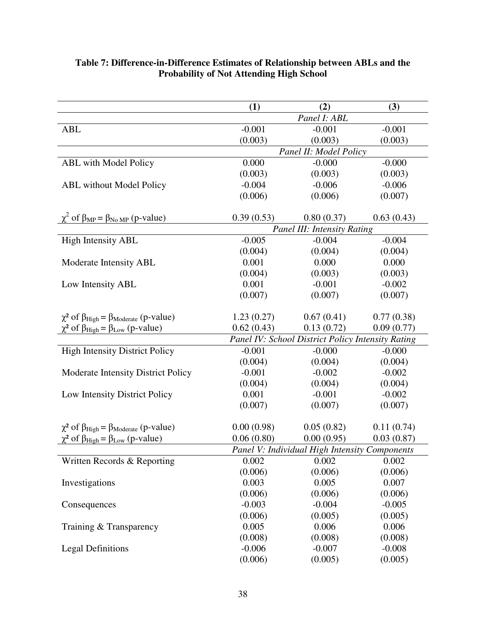|                                                                  | (1)        | (2)                                               | (3)        |
|------------------------------------------------------------------|------------|---------------------------------------------------|------------|
|                                                                  |            | Panel I: ABL                                      |            |
| <b>ABL</b>                                                       | $-0.001$   | $-0.001$                                          | $-0.001$   |
|                                                                  | (0.003)    | (0.003)                                           | (0.003)    |
|                                                                  |            | Panel II: Model Policy                            |            |
| ABL with Model Policy                                            | 0.000      | $-0.000$                                          | $-0.000$   |
|                                                                  | (0.003)    | (0.003)                                           | (0.003)    |
| <b>ABL</b> without Model Policy                                  | $-0.004$   | $-0.006$                                          | $-0.006$   |
|                                                                  | (0.006)    | (0.006)                                           | (0.007)    |
|                                                                  |            |                                                   |            |
| $\chi^2$ of $\beta_{MP} = \beta_{No MP}$ (p-value)               | 0.39(0.53) | 0.80(0.37)                                        | 0.63(0.43) |
|                                                                  |            | Panel III: Intensity Rating                       |            |
| <b>High Intensity ABL</b>                                        | $-0.005$   | $-0.004$                                          | $-0.004$   |
|                                                                  | (0.004)    | (0.004)                                           | (0.004)    |
| Moderate Intensity ABL                                           | 0.001      | 0.000                                             | 0.000      |
|                                                                  | (0.004)    | (0.003)                                           | (0.003)    |
| Low Intensity ABL                                                | 0.001      | $-0.001$                                          | $-0.002$   |
|                                                                  | (0.007)    | (0.007)                                           | (0.007)    |
|                                                                  |            |                                                   |            |
| $\chi^2$ of $\beta_{High} = \beta_{Moderate}$ (p-value)          | 1.23(0.27) | 0.67(0.41)                                        | 0.77(0.38) |
| $\chi^2$ of $\beta_{High} = \beta_{Low}$ (p-value)               | 0.62(0.43) | 0.13(0.72)                                        | 0.09(0.77) |
|                                                                  |            | Panel IV: School District Policy Intensity Rating |            |
| <b>High Intensity District Policy</b>                            | $-0.001$   | $-0.000$                                          | $-0.000$   |
|                                                                  | (0.004)    | (0.004)                                           | (0.004)    |
| <b>Moderate Intensity District Policy</b>                        | $-0.001$   | $-0.002$                                          | $-0.002$   |
|                                                                  | (0.004)    | (0.004)                                           | (0.004)    |
| Low Intensity District Policy                                    | 0.001      | $-0.001$                                          | $-0.002$   |
|                                                                  | (0.007)    | (0.007)                                           | (0.007)    |
|                                                                  |            |                                                   |            |
| $\chi^2$ of $\beta_{High} = \beta_{Model}$ (p-value)             | 0.00(0.98) | 0.05(0.82)                                        | 0.11(0.74) |
| $\chi^2$ of $\beta_{\text{High}} = \beta_{\text{Low}}$ (p-value) | 0.06(0.80) | 0.00(0.95)                                        | 0.03(0.87) |
|                                                                  |            | Panel V: Individual High Intensity Components     |            |
| Written Records & Reporting                                      | 0.002      | 0.002                                             | 0.002      |
|                                                                  | (0.006)    | (0.006)                                           | (0.006)    |
| Investigations                                                   | 0.003      | 0.005                                             | 0.007      |
|                                                                  | (0.006)    | (0.006)                                           | (0.006)    |
| Consequences                                                     | $-0.003$   | $-0.004$                                          | $-0.005$   |
|                                                                  | (0.006)    | (0.005)                                           | (0.005)    |
| Training & Transparency                                          | 0.005      | 0.006                                             | 0.006      |
|                                                                  | (0.008)    | (0.008)                                           | (0.008)    |
| <b>Legal Definitions</b>                                         | $-0.006$   | $-0.007$                                          | $-0.008$   |
|                                                                  | (0.006)    | (0.005)                                           | (0.005)    |

#### **Table 7: Difference-in-Difference Estimates of Relationship between ABLs and the Probability of Not Attending High School**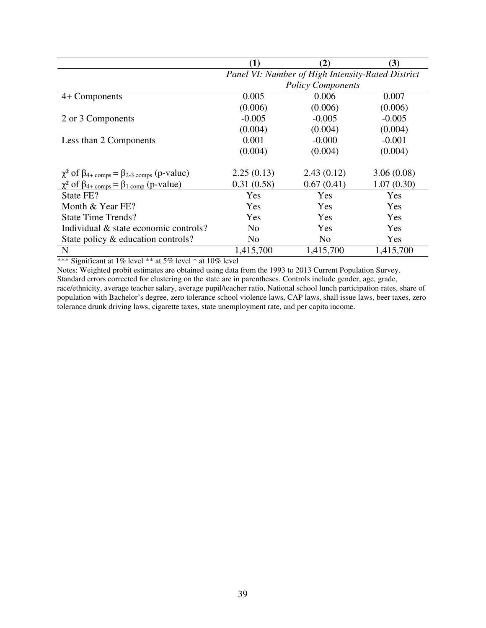|                                                                            | (1)                                               | (2)            | (3)        |  |  |
|----------------------------------------------------------------------------|---------------------------------------------------|----------------|------------|--|--|
|                                                                            | Panel VI: Number of High Intensity-Rated District |                |            |  |  |
|                                                                            | <b>Policy Components</b>                          |                |            |  |  |
| 4+ Components                                                              | 0.005                                             | 0.006          | 0.007      |  |  |
|                                                                            | (0.006)                                           | (0.006)        | (0.006)    |  |  |
| 2 or 3 Components                                                          | $-0.005$                                          | $-0.005$       | $-0.005$   |  |  |
|                                                                            | (0.004)                                           | (0.004)        | (0.004)    |  |  |
| Less than 2 Components                                                     | 0.001                                             | $-0.000$       | $-0.001$   |  |  |
|                                                                            | (0.004)                                           | (0.004)        | (0.004)    |  |  |
|                                                                            |                                                   |                |            |  |  |
| $\chi^2$ of $\beta_{4+\text{comps}} = \beta_{2-3 \text{ comps}}$ (p-value) | 2.25(0.13)                                        | 2.43(0.12)     | 3.06(0.08) |  |  |
| $\chi^2$ of $\beta_{4+\text{comps}} = \beta_{1 \text{ comp}}$ (p-value)    | 0.31(0.58)                                        | 0.67(0.41)     | 1.07(0.30) |  |  |
| State FE?                                                                  | Yes                                               | Yes            | Yes        |  |  |
| Month & Year FE?                                                           | Yes                                               | <b>Yes</b>     | Yes        |  |  |
| State Time Trends?                                                         | <b>Yes</b>                                        | <b>Yes</b>     | <b>Yes</b> |  |  |
| Individual & state economic controls?                                      | N <sub>0</sub>                                    | <b>Yes</b>     | Yes        |  |  |
| State policy & education controls?                                         | N <sub>0</sub>                                    | N <sub>0</sub> | Yes        |  |  |
| N                                                                          | 1,415,700                                         | 1,415,700      | 1,415,700  |  |  |

\*\*\* Significant at 1% level \*\* at 5% level \* at 10% level

Notes: Weighted probit estimates are obtained using data from the 1993 to 2013 Current Population Survey. Standard errors corrected for clustering on the state are in parentheses. Controls include gender, age, grade, race/ethnicity, average teacher salary, average pupil/teacher ratio, National school lunch participation rates, share of population with Bachelor's degree, zero tolerance school violence laws, CAP laws, shall issue laws, beer taxes, zero tolerance drunk driving laws, cigarette taxes, state unemployment rate, and per capita income.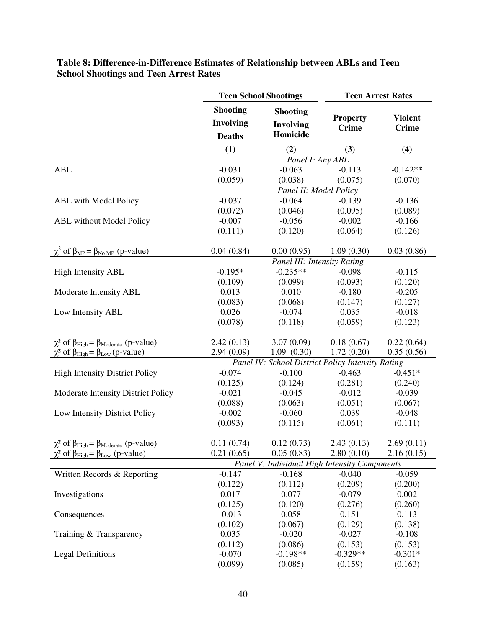|                                                      | <b>Teen School Shootings</b>                         |                                                   |                                 | <b>Teen Arrest Rates</b>       |  |
|------------------------------------------------------|------------------------------------------------------|---------------------------------------------------|---------------------------------|--------------------------------|--|
|                                                      | <b>Shooting</b><br><b>Involving</b><br><b>Deaths</b> | <b>Shooting</b><br><b>Involving</b><br>Homicide   | <b>Property</b><br><b>Crime</b> | <b>Violent</b><br><b>Crime</b> |  |
|                                                      | (1)                                                  | (2)                                               | (3)                             | (4)                            |  |
|                                                      |                                                      | Panel I: Any ABL                                  |                                 |                                |  |
| <b>ABL</b>                                           | $-0.031$                                             | $-0.063$                                          | $-0.113$                        | $-0.142**$                     |  |
|                                                      | (0.059)                                              | (0.038)                                           | (0.075)                         | (0.070)                        |  |
|                                                      |                                                      | Panel II: Model Policy                            |                                 |                                |  |
| <b>ABL</b> with Model Policy                         | $-0.037$                                             | $-0.064$                                          | $-0.139$                        | $-0.136$                       |  |
|                                                      | (0.072)                                              | (0.046)                                           | (0.095)                         | (0.089)                        |  |
| <b>ABL</b> without Model Policy                      | $-0.007$                                             | $-0.056$                                          | $-0.002$                        | $-0.166$                       |  |
|                                                      | (0.111)                                              | (0.120)                                           | (0.064)                         | (0.126)                        |  |
| $\chi^2$ of $\beta_{MP} = \beta_{NoMP}$ (p-value)    | 0.04(0.84)                                           | 0.00(0.95)                                        | 1.09(0.30)                      | 0.03(0.86)                     |  |
|                                                      |                                                      | Panel III: Intensity Rating                       |                                 |                                |  |
| <b>High Intensity ABL</b>                            | $-0.195*$                                            | $-0.235**$                                        | $-0.098$                        | $-0.115$                       |  |
|                                                      | (0.109)                                              | (0.099)                                           | (0.093)                         | (0.120)                        |  |
| Moderate Intensity ABL                               | 0.013                                                | 0.010                                             | $-0.180$                        | $-0.205$                       |  |
|                                                      | (0.083)                                              | (0.068)                                           | (0.147)                         | (0.127)                        |  |
| Low Intensity ABL                                    | 0.026                                                | $-0.074$                                          | 0.035                           | $-0.018$                       |  |
|                                                      | (0.078)                                              | (0.118)                                           | (0.059)                         | (0.123)                        |  |
| $\chi^2$ of $\beta_{High} = \beta_{Model}$ (p-value) | 2.42(0.13)                                           | 3.07(0.09)                                        | 0.18(0.67)                      | 0.22(0.64)                     |  |
| $\chi^2$ of $\beta_{High} = \beta_{Low}$ (p-value)   | 2.94(0.09)                                           | 1.09(0.30)                                        | 1.72(0.20)                      | 0.35(0.56)                     |  |
|                                                      |                                                      | Panel IV: School District Policy Intensity Rating |                                 |                                |  |
| <b>High Intensity District Policy</b>                | $-0.074$                                             | $-0.100$                                          | $-0.463$                        | $-0.451*$                      |  |
|                                                      | (0.125)                                              | (0.124)                                           | (0.281)                         | (0.240)                        |  |
| Moderate Intensity District Policy                   | $-0.021$                                             | $-0.045$                                          | $-0.012$                        | $-0.039$                       |  |
|                                                      | (0.088)                                              | (0.063)                                           | (0.051)                         | (0.067)                        |  |
| Low Intensity District Policy                        | $-0.002$                                             | $-0.060$                                          | 0.039                           | $-0.048$                       |  |
|                                                      | (0.093)                                              | (0.115)                                           | (0.061)                         | (0.111)                        |  |
| $\chi^2$ of $\beta_{High} = \beta_{Model}$ (p-value) | 0.11(0.74)                                           | 0.12(0.73)                                        | 2.43(0.13)                      | 2.69(0.11)                     |  |
| $\chi^2$ of $\beta_{High} = \beta_{Low}$ (p-value)   | 0.21(0.65)                                           | 0.05(0.83)                                        | 2.80(0.10)                      | 2.16(0.15)                     |  |
|                                                      |                                                      | Panel V: Individual High Intensity Components     |                                 |                                |  |
| Written Records & Reporting                          | $-0.147$                                             | $-0.168$                                          | $-0.040$                        | $-0.059$                       |  |
|                                                      | (0.122)                                              | (0.112)                                           | (0.209)                         | (0.200)                        |  |
| Investigations                                       | 0.017                                                | 0.077                                             | $-0.079$                        | 0.002                          |  |
|                                                      | (0.125)                                              | (0.120)                                           | (0.276)                         | (0.260)                        |  |
| Consequences                                         | $-0.013$                                             | 0.058                                             | 0.151                           | 0.113                          |  |
|                                                      | (0.102)                                              | (0.067)                                           | (0.129)                         | (0.138)                        |  |
| Training & Transparency                              | 0.035                                                | $-0.020$                                          | $-0.027$                        | $-0.108$                       |  |
|                                                      | (0.112)                                              | (0.086)                                           | (0.153)                         | (0.153)                        |  |
| <b>Legal Definitions</b>                             | $-0.070$                                             | $-0.198**$                                        | $-0.329**$                      | $-0.301*$                      |  |
|                                                      | (0.099)                                              | (0.085)                                           | (0.159)                         | (0.163)                        |  |

## **Table 8: Difference-in-Difference Estimates of Relationship between ABLs and Teen School Shootings and Teen Arrest Rates**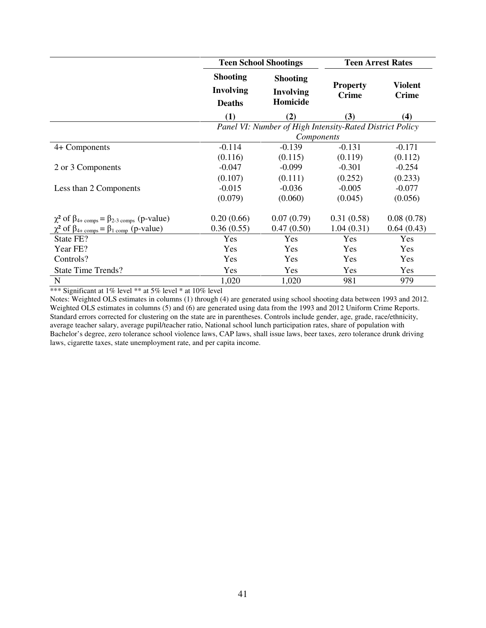|                                                                            |                                                      | <b>Teen School Shootings</b>                             |                                 | <b>Teen Arrest Rates</b>       |
|----------------------------------------------------------------------------|------------------------------------------------------|----------------------------------------------------------|---------------------------------|--------------------------------|
|                                                                            | <b>Shooting</b><br><b>Involving</b><br><b>Deaths</b> | <b>Shooting</b><br><b>Involving</b><br>Homicide          | <b>Property</b><br><b>Crime</b> | <b>Violent</b><br><b>Crime</b> |
|                                                                            | (1)                                                  | (2)                                                      | (3)                             | (4)                            |
|                                                                            |                                                      | Panel VI: Number of High Intensity-Rated District Policy |                                 |                                |
|                                                                            |                                                      | Components                                               |                                 |                                |
| 4+ Components                                                              | $-0.114$                                             | $-0.139$                                                 | $-0.131$                        | $-0.171$                       |
|                                                                            | (0.116)                                              | (0.115)                                                  | (0.119)                         | (0.112)                        |
| 2 or 3 Components                                                          | $-0.047$                                             | $-0.099$                                                 | $-0.301$                        | $-0.254$                       |
|                                                                            | (0.107)                                              | (0.111)                                                  | (0.252)                         | (0.233)                        |
| Less than 2 Components                                                     | $-0.015$                                             | $-0.036$                                                 | $-0.005$                        | $-0.077$                       |
|                                                                            | (0.079)                                              | (0.060)                                                  | (0.045)                         | (0.056)                        |
| $\chi^2$ of $\beta_{4+\text{comps}} = \beta_{2-3 \text{ comps}}$ (p-value) | 0.20(0.66)                                           | 0.07(0.79)                                               | 0.31(0.58)                      | 0.08(0.78)                     |
| $\chi^2$ of $\beta_{4+\text{comps}} = \beta_{1 \text{ comp}}$ (p-value)    | 0.36(0.55)                                           | 0.47(0.50)                                               | 1.04(0.31)                      | 0.64(0.43)                     |
| State FE?                                                                  | Yes                                                  | Yes                                                      | Yes                             | Yes                            |
| Year FE?                                                                   | Yes                                                  | Yes                                                      | Yes                             | Yes                            |
| Controls?                                                                  | Yes                                                  | Yes                                                      | Yes                             | Yes                            |
| <b>State Time Trends?</b>                                                  | Yes                                                  | Yes                                                      | Yes                             | Yes                            |
| N                                                                          | 1,020                                                | 1,020                                                    | 981                             | 979                            |

\*\*\* Significant at 1% level \*\* at 5% level \* at 10% level

Notes: Weighted OLS estimates in columns (1) through (4) are generated using school shooting data between 1993 and 2012. Weighted OLS estimates in columns (5) and (6) are generated using data from the 1993 and 2012 Uniform Crime Reports. Standard errors corrected for clustering on the state are in parentheses. Controls include gender, age, grade, race/ethnicity, average teacher salary, average pupil/teacher ratio, National school lunch participation rates, share of population with Bachelor's degree, zero tolerance school violence laws, CAP laws, shall issue laws, beer taxes, zero tolerance drunk driving laws, cigarette taxes, state unemployment rate, and per capita income.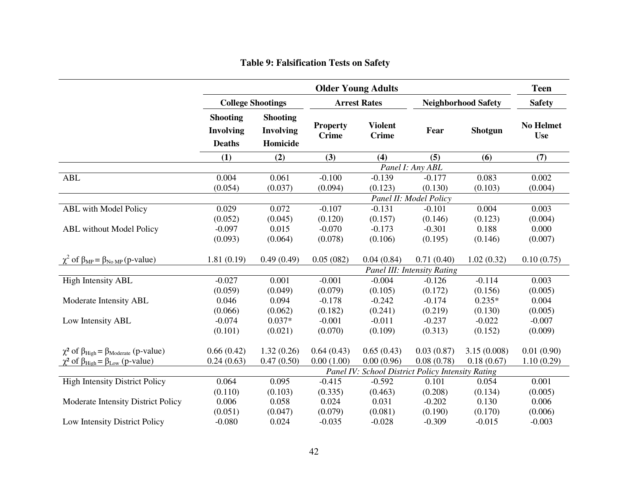|                                                                  | <b>Older Young Adults</b>                            |                                          |                                 |                                                   |                                           |                            | <b>Teen</b>                    |
|------------------------------------------------------------------|------------------------------------------------------|------------------------------------------|---------------------------------|---------------------------------------------------|-------------------------------------------|----------------------------|--------------------------------|
|                                                                  |                                                      | <b>College Shootings</b>                 |                                 | <b>Arrest Rates</b>                               |                                           | <b>Neighborhood Safety</b> |                                |
|                                                                  | <b>Shooting</b><br><b>Involving</b><br><b>Deaths</b> | <b>Shooting</b><br>Involving<br>Homicide | <b>Property</b><br><b>Crime</b> | <b>Violent</b><br><b>Crime</b>                    | Fear                                      | <b>Shotgun</b>             | <b>No Helmet</b><br><b>Use</b> |
|                                                                  | (1)                                                  | (2)                                      | (3)                             | (4)                                               | (5)                                       | (6)                        | (7)                            |
|                                                                  |                                                      |                                          |                                 |                                                   | Panel I: Any ABL                          |                            |                                |
| <b>ABL</b>                                                       | 0.004                                                | 0.061                                    | $-0.100$                        | $-0.139$                                          | $-0.177$                                  | 0.083                      | 0.002                          |
|                                                                  | (0.054)                                              | (0.037)                                  | (0.094)                         | (0.123)                                           | (0.130)                                   | (0.103)                    | (0.004)                        |
|                                                                  |                                                      |                                          |                                 |                                                   | Panel II: Model Policy                    |                            |                                |
| <b>ABL</b> with Model Policy                                     | 0.029                                                | 0.072                                    | $-0.107$                        | $-0.131$                                          | $-0.101$                                  | 0.004                      | 0.003                          |
|                                                                  | (0.052)                                              | (0.045)                                  | (0.120)                         | (0.157)                                           | (0.146)                                   | (0.123)                    | (0.004)                        |
| <b>ABL</b> without Model Policy                                  | $-0.097$                                             | 0.015                                    | $-0.070$                        | $-0.173$                                          | $-0.301$                                  | 0.188                      | 0.000                          |
|                                                                  | (0.093)                                              | (0.064)                                  | (0.078)                         | (0.106)                                           | (0.195)                                   | (0.146)                    | (0.007)                        |
| $\chi^2$ of $\beta_{MP} = \beta_{No MP}$ (p-value)               | 1.81(0.19)                                           | 0.49(0.49)                               | 0.05(082)                       | 0.04(0.84)                                        | 0.71(0.40)<br>Panel III: Intensity Rating | 1.02(0.32)                 | 0.10(0.75)                     |
| <b>High Intensity ABL</b>                                        | $-0.027$                                             | 0.001                                    | $-0.001$                        | $-0.004$                                          | $-0.126$                                  | $-0.114$                   | 0.003                          |
|                                                                  | (0.059)                                              | (0.049)                                  | (0.079)                         | (0.105)                                           | (0.172)                                   | (0.156)                    | (0.005)                        |
| Moderate Intensity ABL                                           | 0.046                                                | 0.094                                    | $-0.178$                        | $-0.242$                                          | $-0.174$                                  | $0.235*$                   | 0.004                          |
|                                                                  | (0.066)                                              | (0.062)                                  | (0.182)                         | (0.241)                                           | (0.219)                                   | (0.130)                    | (0.005)                        |
| Low Intensity ABL                                                | $-0.074$                                             | $0.037*$                                 | $-0.001$                        | $-0.011$                                          | $-0.237$                                  | $-0.022$                   | $-0.007$                       |
|                                                                  | (0.101)                                              | (0.021)                                  | (0.070)                         | (0.109)                                           | (0.313)                                   | (0.152)                    | (0.009)                        |
|                                                                  |                                                      |                                          |                                 |                                                   |                                           |                            |                                |
| $\chi^2$ of $\beta_{High} = \beta_{Model}$ (p-value)             | 0.66(0.42)                                           | 1.32(0.26)                               | 0.64(0.43)                      | 0.65(0.43)                                        | 0.03(0.87)                                | 3.15(0.008)                | 0.01(0.90)                     |
| $\chi^2$ of $\beta_{\text{High}} = \beta_{\text{Low}}$ (p-value) | 0.24(0.63)                                           | 0.47(0.50)                               | 0.00(1.00)                      | 0.00(0.96)                                        | 0.08(0.78)                                | 0.18(0.67)                 | 1.10(0.29)                     |
|                                                                  |                                                      |                                          |                                 | Panel IV: School District Policy Intensity Rating |                                           |                            |                                |
| <b>High Intensity District Policy</b>                            | 0.064                                                | 0.095                                    | $-0.415$                        | $-0.592$                                          | 0.101                                     | 0.054                      | 0.001                          |
|                                                                  | (0.110)                                              | (0.103)                                  | (0.335)                         | (0.463)                                           | (0.208)                                   | (0.134)                    | (0.005)                        |
| Moderate Intensity District Policy                               | 0.006                                                | 0.058                                    | 0.024                           | 0.031                                             | $-0.202$                                  | 0.130                      | 0.006                          |
|                                                                  | (0.051)                                              | (0.047)                                  | (0.079)                         | (0.081)                                           | (0.190)                                   | (0.170)                    | (0.006)                        |
| Low Intensity District Policy                                    | $-0.080$                                             | 0.024                                    | $-0.035$                        | $-0.028$                                          | $-0.309$                                  | $-0.015$                   | $-0.003$                       |

#### **Table 9: Falsification Tests on Safety**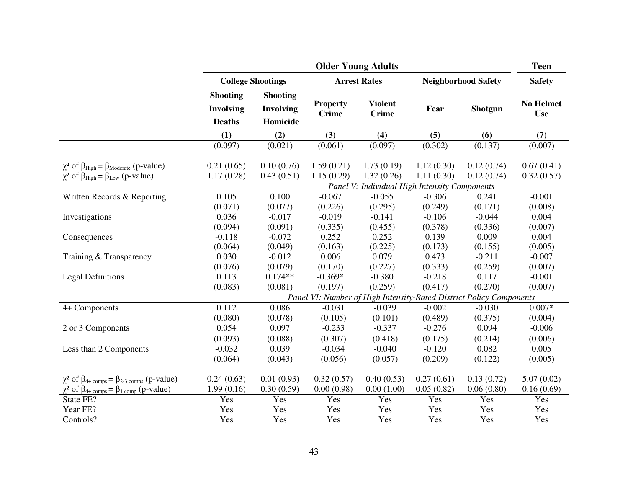|                                                                                                            |                                                      |                                          | <b>Older Young Adults</b>       |                                               |                            |                                                                     | <b>Teen</b>                    |
|------------------------------------------------------------------------------------------------------------|------------------------------------------------------|------------------------------------------|---------------------------------|-----------------------------------------------|----------------------------|---------------------------------------------------------------------|--------------------------------|
|                                                                                                            |                                                      | <b>College Shootings</b>                 |                                 | <b>Arrest Rates</b>                           | <b>Neighborhood Safety</b> |                                                                     | <b>Safety</b>                  |
|                                                                                                            | <b>Shooting</b><br><b>Involving</b><br><b>Deaths</b> | <b>Shooting</b><br>Involving<br>Homicide | <b>Property</b><br><b>Crime</b> | <b>Violent</b><br><b>Crime</b>                | Fear                       | <b>Shotgun</b>                                                      | <b>No Helmet</b><br><b>Use</b> |
|                                                                                                            | (1)                                                  | (2)                                      | (3)                             | (4)                                           | (5)                        | (6)                                                                 | (7)                            |
|                                                                                                            | (0.097)                                              | (0.021)                                  | (0.061)                         | (0.097)                                       | (0.302)                    | (0.137)                                                             | (0.007)                        |
| $\chi^2$ of $\beta_{High} = \beta_{Model}$ (p-value)<br>$\chi^2$ of $\beta_{High} = \beta_{Low}$ (p-value) | 0.21(0.65)<br>1.17(0.28)                             | 0.10(0.76)<br>0.43(0.51)                 | 1.59(0.21)<br>1.15(0.29)        | 1.73(0.19)<br>1.32(0.26)                      | 1.12(0.30)<br>1.11(0.30)   | 0.12(0.74)<br>0.12(0.74)                                            | 0.67(0.41)<br>0.32(0.57)       |
|                                                                                                            |                                                      |                                          |                                 | Panel V: Individual High Intensity Components |                            |                                                                     |                                |
| Written Records & Reporting                                                                                | 0.105                                                | 0.100                                    | $-0.067$                        | $-0.055$                                      | $-0.306$                   | 0.241                                                               | $-0.001$                       |
|                                                                                                            | (0.071)                                              | (0.077)                                  | (0.226)                         | (0.295)                                       | (0.249)                    | (0.171)                                                             | (0.008)                        |
| Investigations                                                                                             | 0.036                                                | $-0.017$                                 | $-0.019$                        | $-0.141$                                      | $-0.106$                   | $-0.044$                                                            | 0.004                          |
|                                                                                                            | (0.094)                                              | (0.091)                                  | (0.335)                         | (0.455)                                       | (0.378)                    | (0.336)                                                             | (0.007)                        |
| Consequences                                                                                               | $-0.118$                                             | $-0.072$                                 | 0.252                           | 0.252                                         | 0.139                      | 0.009                                                               | 0.004                          |
|                                                                                                            | (0.064)                                              | (0.049)                                  | (0.163)                         | (0.225)                                       | (0.173)                    | (0.155)                                                             | (0.005)                        |
| Training & Transparency                                                                                    | 0.030                                                | $-0.012$                                 | 0.006                           | 0.079                                         | 0.473                      | $-0.211$                                                            | $-0.007$                       |
|                                                                                                            | (0.076)                                              | (0.079)                                  | (0.170)                         | (0.227)                                       | (0.333)                    | (0.259)                                                             | (0.007)                        |
| <b>Legal Definitions</b>                                                                                   | 0.113                                                | $0.174**$                                | $-0.369*$                       | $-0.380$                                      | $-0.218$                   | 0.117                                                               | $-0.001$                       |
|                                                                                                            | (0.083)                                              | (0.081)                                  | (0.197)                         | (0.259)                                       | (0.417)                    | (0.270)                                                             | (0.007)                        |
|                                                                                                            |                                                      |                                          |                                 |                                               |                            | Panel VI: Number of High Intensity-Rated District Policy Components |                                |
| 4+ Components                                                                                              | 0.112                                                | 0.086                                    | $-0.031$                        | $-0.039$                                      | $-0.002$                   | $-0.030$                                                            | $0.007*$                       |
|                                                                                                            | (0.080)                                              | (0.078)                                  | (0.105)                         | (0.101)                                       | (0.489)                    | (0.375)                                                             | (0.004)                        |
| 2 or 3 Components                                                                                          | 0.054                                                | 0.097                                    | $-0.233$                        | $-0.337$                                      | $-0.276$                   | 0.094                                                               | $-0.006$                       |
|                                                                                                            | (0.093)                                              | (0.088)                                  | (0.307)                         | (0.418)                                       | (0.175)                    | (0.214)                                                             | (0.006)                        |
| Less than 2 Components                                                                                     | $-0.032$                                             | 0.039                                    | $-0.034$                        | $-0.040$                                      | $-0.120$                   | 0.082                                                               | 0.005                          |
|                                                                                                            | (0.064)                                              | (0.043)                                  | (0.056)                         | (0.057)                                       | (0.209)                    | (0.122)                                                             | (0.005)                        |
| $\chi^2$ of $\beta_{4+\text{comps}} = \beta_{2-3 \text{ comps}}$ (p-value)                                 | 0.24(0.63)                                           | 0.01(0.93)                               | 0.32(0.57)                      | 0.40(0.53)                                    | 0.27(0.61)                 | 0.13(0.72)                                                          | 5.07(0.02)                     |
| $\chi^2$ of $\beta_{4+\text{comps}} = \beta_{1 \text{ comp}}$ (p-value)                                    | 1.99(0.16)                                           | 0.30(0.59)                               | 0.00(0.98)                      | 0.00(1.00)                                    | 0.05(0.82)                 | 0.06(0.80)                                                          | 0.16(0.69)                     |
| State FE?                                                                                                  | Yes                                                  | Yes                                      | Yes                             | Yes                                           | Yes                        | Yes                                                                 | Yes                            |
| Year FE?                                                                                                   | Yes                                                  | Yes                                      | Yes                             | Yes                                           | Yes                        | Yes                                                                 | Yes                            |
| Controls?                                                                                                  | Yes                                                  | Yes                                      | Yes                             | Yes                                           | Yes                        | Yes                                                                 | Yes                            |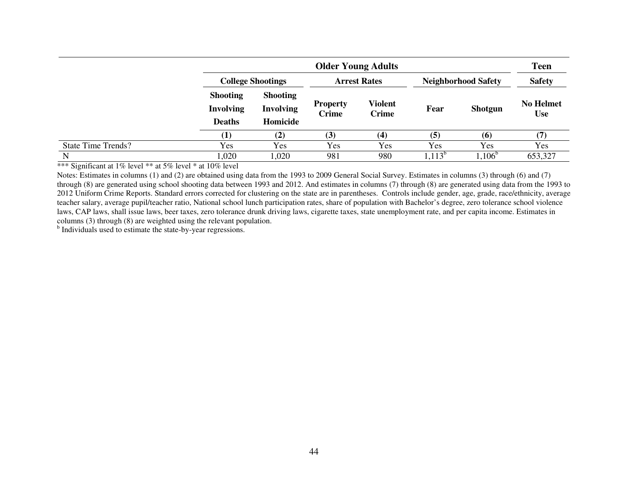|                           |                                                      | <b>Older Young Adults</b>                       |                          |                         |            |                            | <b>Teen</b>                    |
|---------------------------|------------------------------------------------------|-------------------------------------------------|--------------------------|-------------------------|------------|----------------------------|--------------------------------|
|                           |                                                      | <b>College Shootings</b>                        |                          | <b>Arrest Rates</b>     |            | <b>Neighborhood Safety</b> |                                |
|                           | <b>Shooting</b><br><b>Involving</b><br><b>Deaths</b> | <b>Shooting</b><br><b>Involving</b><br>Homicide | <b>Property</b><br>Crime | Violent<br><b>Crime</b> | Fear       | <b>Shotgun</b>             | <b>No Helmet</b><br><b>Use</b> |
|                           | $\bf{(1)}$                                           | (2)                                             | (3)                      | $\left( 4\right)$       | (5)        | (6)                        |                                |
| <b>State Time Trends?</b> | Yes                                                  | Yes                                             | <b>Yes</b>               | Yes                     | <b>Yes</b> | Yes                        | Yes                            |
| N                         | ,020                                                 | 1,020                                           | 981                      | 980                     | $1,113^b$  | $1,106^b$                  | 653,327                        |

\*\*\* Significant at 1% level \*\* at 5% level \* at 10% level

 Notes: Estimates in columns (1) and (2) are obtained using data from the 1993 to 2009 General Social Survey. Estimates in columns (3) through (6) and (7) through (8) are generated using school shooting data between 1993 and 2012. And estimates in columns (7) through (8) are generated using data from the 1993 to 2012 Uniform Crime Reports. Standard errors corrected for clustering on the state are in parentheses. Controls include gender, age, grade, race/ethnicity, average teacher salary, average pupil/teacher ratio, National school lunch participation rates, share of population with Bachelor's degree, zero tolerance school violence laws, CAP laws, shall issue laws, beer taxes, zero tolerance drunk driving laws, cigarette taxes, state unemployment rate, and per capita income. Estimates in columns (3) through (8) are weighted using the relevant population.

<sup>b</sup> Individuals used to estimate the state-by-year regressions.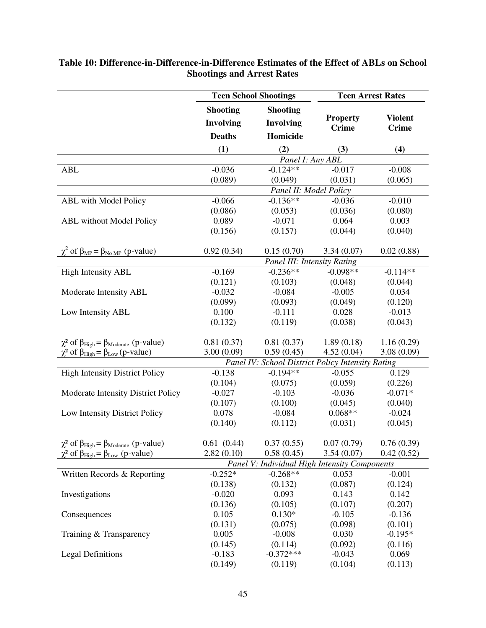|                                                                  | <b>Teen School Shootings</b> |                                                   | <b>Teen Arrest Rates</b> |                |
|------------------------------------------------------------------|------------------------------|---------------------------------------------------|--------------------------|----------------|
|                                                                  | <b>Shooting</b>              | <b>Shooting</b>                                   |                          |                |
|                                                                  | <b>Involving</b>             | <b>Involving</b>                                  | <b>Property</b>          | <b>Violent</b> |
|                                                                  | <b>Deaths</b>                | Homicide                                          | <b>Crime</b>             | <b>Crime</b>   |
|                                                                  |                              |                                                   |                          |                |
|                                                                  | (1)                          | (2)                                               | (3)                      | (4)            |
| <b>ABL</b>                                                       | $-0.036$                     | Panel I: Any ABL<br>$-0.124**$                    | $-0.017$                 | $-0.008$       |
|                                                                  | (0.089)                      | (0.049)                                           | (0.031)                  | (0.065)        |
|                                                                  |                              | Panel II: Model Policy                            |                          |                |
| <b>ABL</b> with Model Policy                                     | $-0.066$                     | $-0.136**$                                        | $-0.036$                 | $-0.010$       |
|                                                                  | (0.086)                      | (0.053)                                           | (0.036)                  | (0.080)        |
| <b>ABL</b> without Model Policy                                  | 0.089                        | $-0.071$                                          | 0.064                    | 0.003          |
|                                                                  | (0.156)                      | (0.157)                                           | (0.044)                  | (0.040)        |
|                                                                  |                              |                                                   |                          |                |
| $\chi^2$ of $\beta_{MP} = \beta_{NoMP}$ (p-value)                | 0.92(0.34)                   | 0.15(0.70)                                        | 3.34(0.07)               | 0.02(0.88)     |
|                                                                  |                              | Panel III: Intensity Rating                       |                          |                |
| <b>High Intensity ABL</b>                                        | $-0.169$                     | $-0.236**$                                        | $-0.098**$               | $-0.114**$     |
|                                                                  | (0.121)                      | (0.103)                                           | (0.048)                  | (0.044)        |
| Moderate Intensity ABL                                           | $-0.032$                     | $-0.084$                                          | $-0.005$                 | 0.034          |
|                                                                  | (0.099)                      | (0.093)                                           | (0.049)                  | (0.120)        |
| Low Intensity ABL                                                | 0.100                        | $-0.111$                                          | 0.028                    | $-0.013$       |
|                                                                  | (0.132)                      | (0.119)                                           | (0.038)                  | (0.043)        |
|                                                                  |                              |                                                   |                          |                |
| $\chi^2$ of $\beta_{High} = \beta_{Moderate}$ (p-value)          | 0.81(0.37)                   | 0.81(0.37)                                        | 1.89(0.18)               | 1.16(0.29)     |
| $\chi^2$ of $\beta_{High} = \beta_{Low} (p-value)$               | 3.00(0.09)                   | 0.59(0.45)                                        | 4.52(0.04)               | 3.08(0.09)     |
|                                                                  |                              | Panel IV: School District Policy Intensity Rating |                          |                |
| <b>High Intensity District Policy</b>                            | $-0.138$                     | $-0.194**$                                        | $-0.055$                 | 0.129          |
|                                                                  | (0.104)                      | (0.075)                                           | (0.059)                  | (0.226)        |
| Moderate Intensity District Policy                               | $-0.027$                     | $-0.103$                                          | $-0.036$                 | $-0.071*$      |
|                                                                  | (0.107)                      | (0.100)                                           | (0.045)                  | (0.040)        |
| Low Intensity District Policy                                    | 0.078                        | $-0.084$                                          | $0.068**$                | $-0.024$       |
|                                                                  | (0.140)                      | (0.112)                                           | (0.031)                  | (0.045)        |
|                                                                  |                              |                                                   |                          |                |
| $\chi^2$ of $\beta_{High} = \beta_{Model}$ (p-value)             | 0.61(0.44)                   | 0.37(0.55)                                        | 0.07(0.79)               | 0.76(0.39)     |
| $\chi^2$ of $\beta_{\text{High}} = \beta_{\text{Low}}$ (p-value) | 2.82(0.10)                   | 0.58(0.45)                                        | 3.54(0.07)               | 0.42(0.52)     |
|                                                                  |                              | Panel V: Individual High Intensity Components     |                          |                |
| Written Records & Reporting                                      | $-0.252*$                    | $-0.268**$                                        | 0.053                    | $-0.001$       |
|                                                                  | (0.138)                      | (0.132)                                           | (0.087)                  | (0.124)        |
| Investigations                                                   | $-0.020$                     | 0.093                                             | 0.143                    | 0.142          |
|                                                                  | (0.136)                      | (0.105)                                           | (0.107)                  | (0.207)        |
| Consequences                                                     | 0.105                        | $0.130*$                                          | $-0.105$                 | $-0.136$       |
|                                                                  | (0.131)                      | (0.075)                                           | (0.098)                  | (0.101)        |
| Training & Transparency                                          | 0.005                        | $-0.008$                                          | 0.030                    | $-0.195*$      |
|                                                                  | (0.145)                      | (0.114)                                           | (0.092)                  | (0.116)        |
| <b>Legal Definitions</b>                                         | $-0.183$                     | $-0.372***$                                       | $-0.043$                 | 0.069          |
|                                                                  | (0.149)                      | (0.119)                                           | (0.104)                  | (0.113)        |

## **Table 10: Difference-in-Difference-in-Difference Estimates of the Effect of ABLs on School Shootings and Arrest Rates**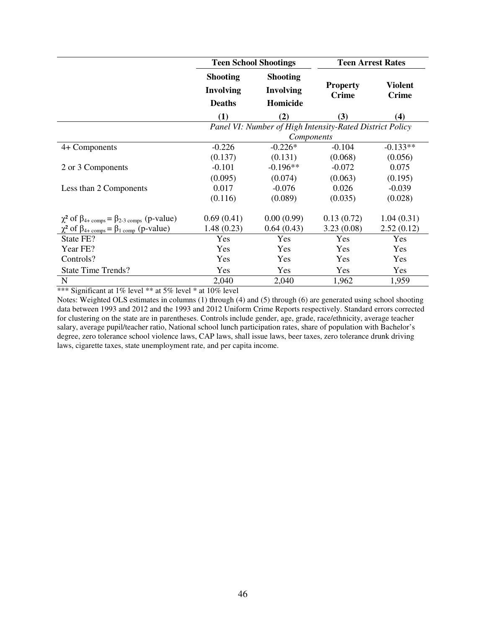|                                                                            | <b>Teen School Shootings</b>                             |                                                 |                                 | <b>Teen Arrest Rates</b>       |
|----------------------------------------------------------------------------|----------------------------------------------------------|-------------------------------------------------|---------------------------------|--------------------------------|
|                                                                            | <b>Shooting</b><br><b>Involving</b><br><b>Deaths</b>     | <b>Shooting</b><br><b>Involving</b><br>Homicide | <b>Property</b><br><b>Crime</b> | <b>Violent</b><br><b>Crime</b> |
|                                                                            | (1)                                                      | (2)                                             | (3)                             | (4)                            |
|                                                                            | Panel VI: Number of High Intensity-Rated District Policy |                                                 |                                 |                                |
|                                                                            |                                                          | Components                                      |                                 |                                |
| 4+ Components                                                              | $-0.226$                                                 | $-0.226*$                                       | $-0.104$                        | $-0.133**$                     |
|                                                                            | (0.137)                                                  | (0.131)                                         | (0.068)                         | (0.056)                        |
| 2 or 3 Components                                                          | $-0.101$                                                 | $-0.196**$                                      | $-0.072$                        | 0.075                          |
|                                                                            | (0.095)                                                  | (0.074)                                         | (0.063)                         | (0.195)                        |
| Less than 2 Components                                                     | 0.017                                                    | $-0.076$                                        | 0.026                           | $-0.039$                       |
|                                                                            | (0.116)                                                  | (0.089)                                         | (0.035)                         | (0.028)                        |
| $\chi^2$ of $\beta_{4+\text{comps}} = \beta_{2-3 \text{ comps}}$ (p-value) | 0.69(0.41)                                               | 0.00(0.99)                                      | 0.13(0.72)                      | 1.04(0.31)                     |
| $\chi^2$ of $\beta_{4+\text{comps}} = \beta_{1 \text{ comp}}$ (p-value)    | 1.48(0.23)                                               | 0.64(0.43)                                      | 3.23(0.08)                      | 2.52(0.12)                     |
| State FE?                                                                  | Yes                                                      | Yes                                             | Yes                             | Yes                            |
| Year FE?                                                                   | Yes                                                      | Yes                                             | Yes                             | Yes                            |
| Controls?                                                                  | Yes                                                      | Yes                                             | Yes                             | Yes                            |
| <b>State Time Trends?</b>                                                  | Yes                                                      | Yes                                             | Yes                             | Yes                            |
| N                                                                          | 2,040                                                    | 2,040                                           | 1,962                           | 1,959                          |

\*\*\* Significant at 1% level \*\* at 5% level \* at 10% level

Notes: Weighted OLS estimates in columns (1) through (4) and (5) through (6) are generated using school shooting data between 1993 and 2012 and the 1993 and 2012 Uniform Crime Reports respectively. Standard errors corrected for clustering on the state are in parentheses. Controls include gender, age, grade, race/ethnicity, average teacher salary, average pupil/teacher ratio, National school lunch participation rates, share of population with Bachelor's degree, zero tolerance school violence laws, CAP laws, shall issue laws, beer taxes, zero tolerance drunk driving laws, cigarette taxes, state unemployment rate, and per capita income.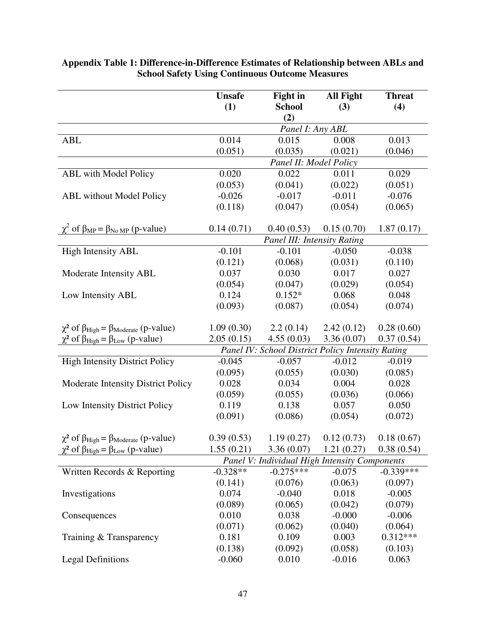|                                                                  | <b>Unsafe</b> | <b>Fight in</b>                                   | <b>All Fight</b> | <b>Threat</b> |
|------------------------------------------------------------------|---------------|---------------------------------------------------|------------------|---------------|
|                                                                  | (1)           | <b>School</b>                                     | (3)              | (4)           |
|                                                                  |               | (2)                                               |                  |               |
|                                                                  |               | Panel I: Any ABL                                  |                  |               |
| <b>ABL</b>                                                       | 0.014         | 0.015                                             | 0.008            | 0.013         |
|                                                                  | (0.051)       | (0.035)                                           | (0.021)          | (0.046)       |
|                                                                  |               | Panel II: Model Policy                            |                  |               |
| <b>ABL</b> with Model Policy                                     | 0.020         | 0.022                                             | 0.011            | 0.029         |
|                                                                  | (0.053)       | (0.041)                                           | (0.022)          | (0.051)       |
| <b>ABL</b> without Model Policy                                  | $-0.026$      | $-0.017$                                          | $-0.011$         | $-0.076$      |
|                                                                  | (0.118)       | (0.047)                                           | (0.054)          | (0.065)       |
|                                                                  |               |                                                   |                  |               |
| $\chi^2$ of $\beta_{MP} = \beta_{No MP}$ (p-value)               | 0.14(0.71)    | 0.40(0.53)                                        | 0.15(0.70)       | 1.87(0.17)    |
|                                                                  |               | Panel III: Intensity Rating                       |                  |               |
| <b>High Intensity ABL</b>                                        | $-0.101$      | $-0.101$                                          | $-0.050$         | $-0.038$      |
|                                                                  | (0.121)       | (0.068)                                           | (0.031)          | (0.110)       |
| Moderate Intensity ABL                                           | 0.037         | 0.030                                             | 0.017            | 0.027         |
|                                                                  | (0.054)       | (0.047)                                           | (0.029)          | (0.054)       |
| Low Intensity ABL                                                | 0.124         | $0.152*$                                          | 0.068            | 0.048         |
|                                                                  | (0.093)       | (0.087)                                           | (0.054)          | (0.074)       |
|                                                                  |               |                                                   |                  |               |
| $\chi^2$ of $\beta_{High} = \beta_{Model}$ (p-value)             | 1.09(0.30)    | 2.2(0.14)                                         | 2.42(0.12)       | 0.28(0.60)    |
| $\chi^2$ of $\beta_{\text{High}} = \beta_{\text{Low}}$ (p-value) | 2.05(0.15)    | 4.55(0.03)                                        | 3.36(0.07)       | 0.37(0.54)    |
|                                                                  |               | Panel IV: School District Policy Intensity Rating |                  |               |
| <b>High Intensity District Policy</b>                            | $-0.045$      | $-0.057$                                          | $-0.012$         | $-0.019$      |
|                                                                  | (0.095)       | (0.055)                                           | (0.030)          | (0.085)       |
| Moderate Intensity District Policy                               | 0.028         | 0.034                                             | 0.004            | 0.028         |
|                                                                  | (0.059)       | (0.055)                                           | (0.036)          | (0.066)       |
| Low Intensity District Policy                                    | 0.119         | 0.138                                             | 0.057            | 0.050         |
|                                                                  | (0.091)       | (0.086)                                           | (0.054)          | (0.072)       |
|                                                                  |               |                                                   |                  |               |
| $\chi^2$ of $\beta_{High} = \beta_{Moderate}$ (p-value)          | 0.39(0.53)    | 1.19(0.27)                                        | 0.12(0.73)       | 0.18(0.67)    |
| $\chi^2$ of $\beta_{High} = \beta_{Low}$ (p-value)               | 1.55(0.21)    | 3.36(0.07)                                        | 1.21(0.27)       | 0.38(0.54)    |
|                                                                  |               | Panel V: Individual High Intensity Components     |                  |               |
| Written Records & Reporting                                      | $-0.328**$    | $-0.275***$                                       | $-0.075$         | $-0.339***$   |
|                                                                  | (0.141)       | (0.076)                                           | (0.063)          | (0.097)       |
| Investigations                                                   | 0.074         | $-0.040$                                          | 0.018            | $-0.005$      |
|                                                                  | (0.089)       | (0.065)                                           | (0.042)          | (0.079)       |
| Consequences                                                     | 0.010         | 0.038                                             | $-0.000$         | $-0.006$      |
|                                                                  | (0.071)       | (0.062)                                           | (0.040)          | (0.064)       |
| Training & Transparency                                          | 0.181         | 0.109                                             | 0.003            | $0.312***$    |
|                                                                  | (0.138)       | (0.092)                                           | (0.058)          | (0.103)       |
| <b>Legal Definitions</b>                                         | $-0.060$      | 0.010                                             | $-0.016$         | 0.063         |

#### **Appendix Table 1: Difference-in-Difference Estimates of Relationship between ABLs and School Safety Using Continuous Outcome Measures**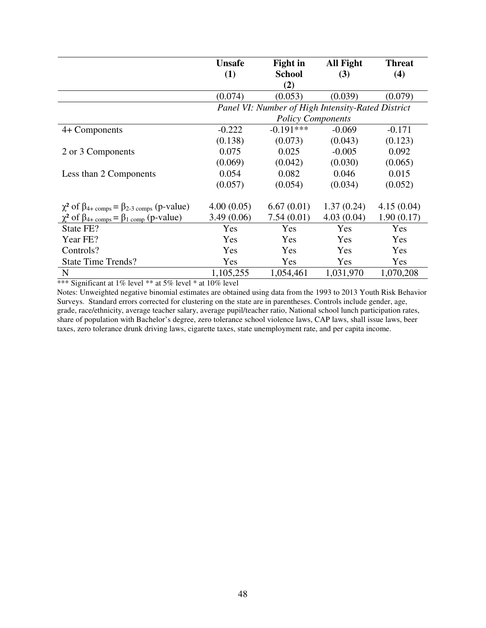|                                                                            | <b>Unsafe</b> | Fight in                                          | <b>All Fight</b> | <b>Threat</b> |
|----------------------------------------------------------------------------|---------------|---------------------------------------------------|------------------|---------------|
|                                                                            | (1)           | <b>School</b><br>(2)                              | (3)              | (4)           |
|                                                                            | (0.074)       | (0.053)                                           | (0.039)          | (0.079)       |
|                                                                            |               | Panel VI: Number of High Intensity-Rated District |                  |               |
|                                                                            |               | <b>Policy Components</b>                          |                  |               |
| 4+ Components                                                              | $-0.222$      | $-0.191***$                                       | $-0.069$         | $-0.171$      |
|                                                                            | (0.138)       | (0.073)                                           | (0.043)          | (0.123)       |
| 2 or 3 Components                                                          | 0.075         | 0.025                                             | $-0.005$         | 0.092         |
|                                                                            | (0.069)       | (0.042)                                           | (0.030)          | (0.065)       |
| Less than 2 Components                                                     | 0.054         | 0.082                                             | 0.046            | 0.015         |
|                                                                            | (0.057)       | (0.054)                                           | (0.034)          | (0.052)       |
| $\chi^2$ of $\beta_{4+\text{comps}} = \beta_{2-3 \text{ comps}}$ (p-value) | 4.00(0.05)    | 6.67(0.01)                                        | 1.37(0.24)       | 4.15(0.04)    |
| $\chi^2$ of $\beta_{4+\text{comps}} = \beta_{1 \text{ comp}}$ (p-value)    | 3.49(0.06)    | 7.54(0.01)                                        | 4.03(0.04)       | 1.90(0.17)    |
| State FE?                                                                  | Yes           | Yes                                               | Yes              | Yes           |
| Year FE?                                                                   | Yes           | Yes                                               | Yes              | Yes           |
| Controls?                                                                  | Yes           | Yes                                               | Yes              | Yes           |
| <b>State Time Trends?</b>                                                  | Yes           | Yes                                               | Yes              | Yes           |
| $\mathbf N$                                                                | 1,105,255     | 1,054,461                                         | 1,031,970        | 1,070,208     |

\*\*\* Significant at 1% level \*\* at 5% level \* at 10% level

Notes: Unweighted negative binomial estimates are obtained using data from the 1993 to 2013 Youth Risk Behavior Surveys. Standard errors corrected for clustering on the state are in parentheses. Controls include gender, age, grade, race/ethnicity, average teacher salary, average pupil/teacher ratio, National school lunch participation rates, share of population with Bachelor's degree, zero tolerance school violence laws, CAP laws, shall issue laws, beer taxes, zero tolerance drunk driving laws, cigarette taxes, state unemployment rate, and per capita income.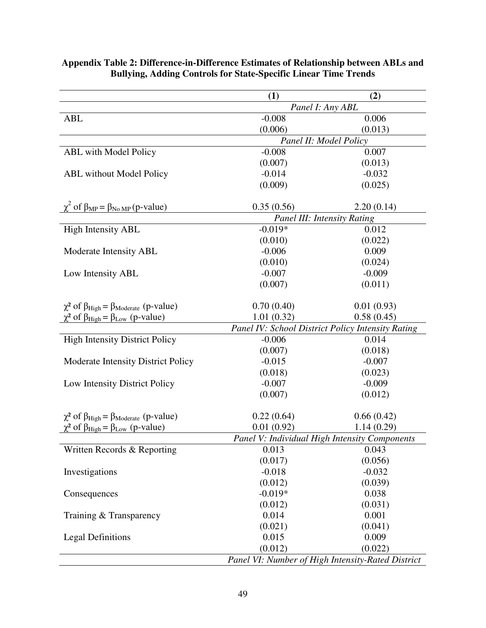|                                                                  | (1)        | (2)                                               |
|------------------------------------------------------------------|------------|---------------------------------------------------|
|                                                                  |            | Panel I: Any ABL                                  |
| <b>ABL</b>                                                       | $-0.008$   | 0.006                                             |
|                                                                  | (0.006)    | (0.013)                                           |
|                                                                  |            | Panel II: Model Policy                            |
| <b>ABL</b> with Model Policy                                     | $-0.008$   | 0.007                                             |
|                                                                  | (0.007)    | (0.013)                                           |
| <b>ABL</b> without Model Policy                                  | $-0.014$   | $-0.032$                                          |
|                                                                  | (0.009)    | (0.025)                                           |
|                                                                  |            |                                                   |
| $\chi^2$ of $\beta_{MP} = \beta_{No MP} (p-value)$               | 0.35(0.56) | 2.20(0.14)                                        |
|                                                                  |            | <b>Panel III: Intensity Rating</b>                |
| <b>High Intensity ABL</b>                                        | $-0.019*$  | 0.012                                             |
|                                                                  | (0.010)    | (0.022)                                           |
| Moderate Intensity ABL                                           | $-0.006$   | 0.009                                             |
|                                                                  | (0.010)    | (0.024)                                           |
| Low Intensity ABL                                                | $-0.007$   | $-0.009$                                          |
|                                                                  | (0.007)    | (0.011)                                           |
|                                                                  |            |                                                   |
| $\chi^2$ of $\beta_{High} = \beta_{Moderate}$ (p-value)          | 0.70(0.40) | 0.01(0.93)                                        |
| $\chi^2$ of $\beta_{\text{High}} = \beta_{\text{Low}}$ (p-value) | 1.01(0.32) | 0.58(0.45)                                        |
|                                                                  |            | Panel IV: School District Policy Intensity Rating |
| <b>High Intensity District Policy</b>                            | $-0.006$   | 0.014                                             |
|                                                                  | (0.007)    | (0.018)                                           |
| Moderate Intensity District Policy                               | $-0.015$   | $-0.007$                                          |
|                                                                  | (0.018)    | (0.023)                                           |
| Low Intensity District Policy                                    | $-0.007$   | $-0.009$                                          |
|                                                                  | (0.007)    | (0.012)                                           |
|                                                                  |            |                                                   |
| $\chi^2$ of $\beta_{High} = \beta_{Model}$ (p-value)             | 0.22(0.64) | 0.66(0.42)                                        |
| $\chi^2$ of $\beta_{\text{High}} = \beta_{\text{Low}}$ (p-value) | 0.01(0.92) | 1.14(0.29)                                        |
|                                                                  |            | Panel V: Individual High Intensity Components     |
| Written Records & Reporting                                      | 0.013      | 0.043                                             |
|                                                                  | (0.017)    | (0.056)                                           |
| Investigations                                                   | $-0.018$   | $-0.032$                                          |
|                                                                  | (0.012)    | (0.039)                                           |
| Consequences                                                     | $-0.019*$  | 0.038                                             |
|                                                                  | (0.012)    | (0.031)                                           |
| Training & Transparency                                          | 0.014      | 0.001                                             |
|                                                                  | (0.021)    | (0.041)                                           |
| <b>Legal Definitions</b>                                         | 0.015      | 0.009                                             |
|                                                                  | (0.012)    | (0.022)                                           |
|                                                                  |            | Panel VI: Number of High Intensity-Rated District |

#### **Appendix Table 2: Difference-in-Difference Estimates of Relationship between ABLs and Bullying, Adding Controls for State-Specific Linear Time Trends**